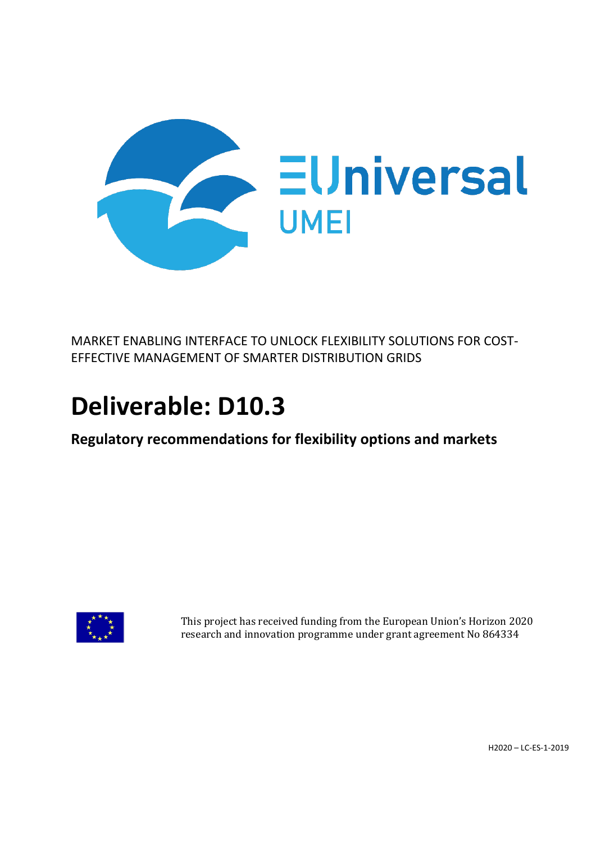

MARKET ENABLING INTERFACE TO UNLOCK FLEXIBILITY SOLUTIONS FOR COST-EFFECTIVE MANAGEMENT OF SMARTER DISTRIBUTION GRIDS

# **Deliverable: D10.3**

**Regulatory recommendations for flexibility options and markets**



This project has received funding from the European Union's Horizon 2020 research and innovation programme under grant agreement No 864334

H2020 – LC-ES-1-2019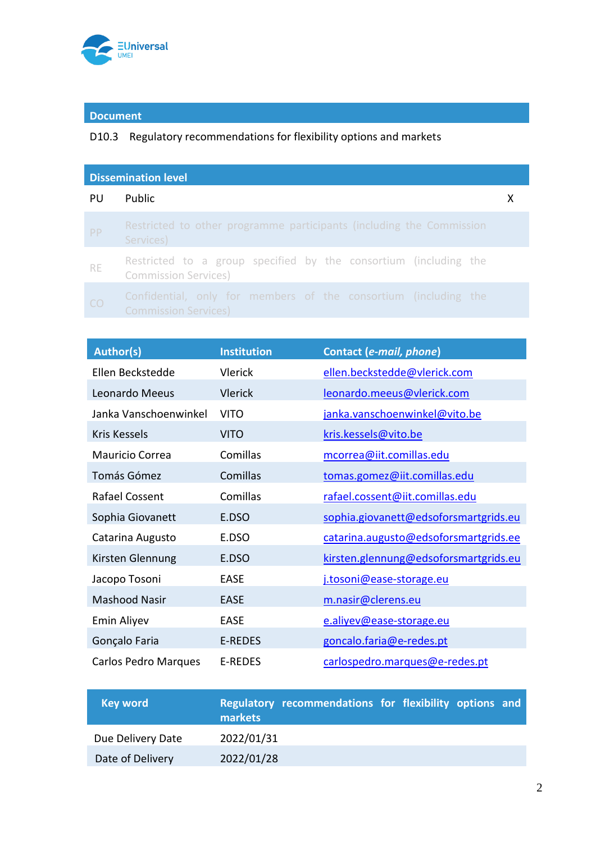

### **Document**

### D10.3 Regulatory recommendations for flexibility options and markets

| <b>Dissemination level</b> |                                                                                                 |  |  |
|----------------------------|-------------------------------------------------------------------------------------------------|--|--|
| PU                         | <b>Public</b>                                                                                   |  |  |
| PP                         | Restricted to other programme participants (including the Commission<br>Services)               |  |  |
| <b>RE</b>                  | Restricted to a group specified by the consortium (including the<br><b>Commission Services)</b> |  |  |
| CO <sub>.</sub>            | Confidential, only for members of the consortium (including the<br><b>Commission Services)</b>  |  |  |

| <b>Author(s)</b>            | <b>Institution</b> | Contact (e-mail, phone)               |
|-----------------------------|--------------------|---------------------------------------|
| Ellen Beckstedde            | <b>Vlerick</b>     | ellen.beckstedde@vlerick.com          |
| Leonardo Meeus              | <b>Vlerick</b>     | leonardo.meeus@vlerick.com            |
| Janka Vanschoenwinkel       | <b>VITO</b>        | janka.vanschoenwinkel@vito.be         |
| Kris Kessels                | <b>VITO</b>        | kris.kessels@vito.be                  |
| Mauricio Correa             | Comillas           | mcorrea@iit.comillas.edu              |
| Tomás Gómez                 | Comillas           | tomas.gomez@iit.comillas.edu          |
| <b>Rafael Cossent</b>       | Comillas           | rafael.cossent@iit.comillas.edu       |
| Sophia Giovanett            | E.DSO              | sophia.giovanett@edsoforsmartgrids.eu |
| Catarina Augusto            | E.DSO              | catarina.augusto@edsoforsmartgrids.ee |
| Kirsten Glennung            | E.DSO              | kirsten.glennung@edsoforsmartgrids.eu |
| Jacopo Tosoni               | <b>EASE</b>        | j.tosoni@ease-storage.eu              |
| <b>Mashood Nasir</b>        | <b>EASE</b>        | m.nasir@clerens.eu                    |
| Emin Aliyev                 | <b>EASE</b>        | e.aliyev@ease-storage.eu              |
| Gonçalo Faria               | <b>E-REDES</b>     | goncalo.faria@e-redes.pt              |
| <b>Carlos Pedro Marques</b> | <b>E-REDES</b>     | carlospedro.marques@e-redes.pt        |

| <b>Key word</b>   | Regulatory recommendations for flexibility options and<br>markets |  |
|-------------------|-------------------------------------------------------------------|--|
| Due Delivery Date | 2022/01/31                                                        |  |
| Date of Delivery  | 2022/01/28                                                        |  |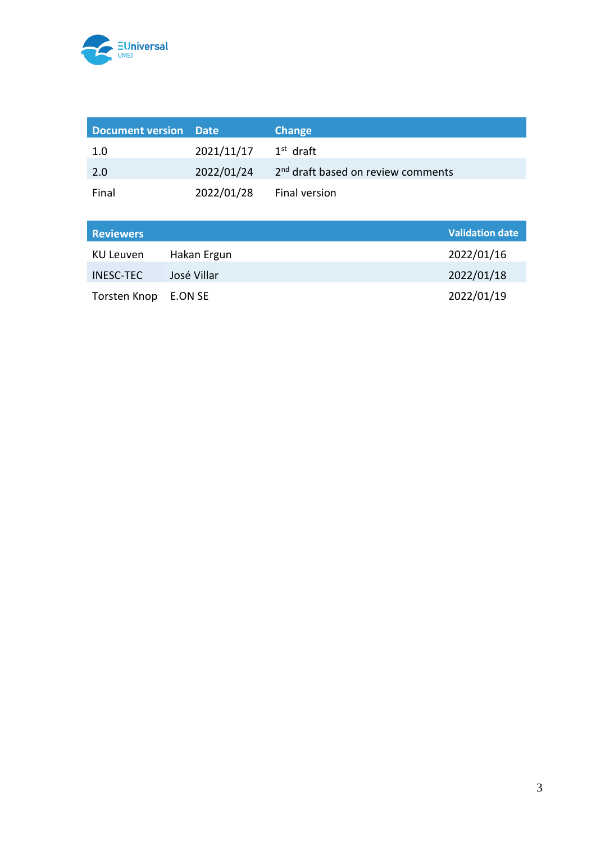

| Document version Date |            | <b>Change</b>                                  |
|-----------------------|------------|------------------------------------------------|
| 1.0                   | 2021/11/17 | $1st$ draft                                    |
| 2.0                   | 2022/01/24 | 2 <sup>nd</sup> draft based on review comments |
| Final                 | 2022/01/28 | Final version                                  |

| <b>Reviewers</b> |             | Validation date |
|------------------|-------------|-----------------|
| KU Leuven        | Hakan Ergun | 2022/01/16      |
| <b>INESC-TEC</b> | José Villar | 2022/01/18      |
| Torsten Knop     | E.ON SE     | 2022/01/19      |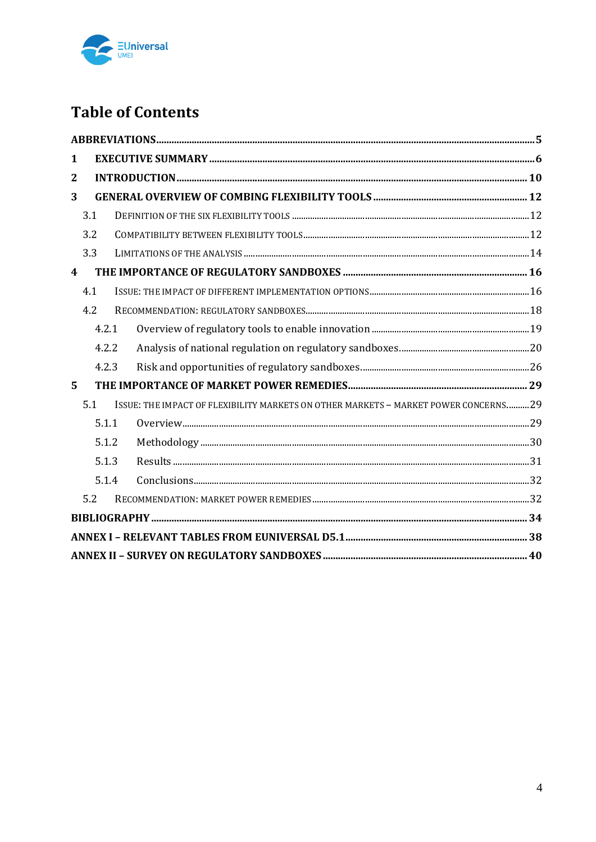

## **Table of Contents**

| 1                       |       |                                                                                     |  |
|-------------------------|-------|-------------------------------------------------------------------------------------|--|
| $\overline{2}$          |       |                                                                                     |  |
| 3                       |       |                                                                                     |  |
|                         | 3.1   |                                                                                     |  |
|                         | 3.2   |                                                                                     |  |
|                         | 3.3   |                                                                                     |  |
| $\overline{\mathbf{4}}$ |       |                                                                                     |  |
|                         | 4.1   |                                                                                     |  |
|                         | 4.2   |                                                                                     |  |
|                         | 4.2.1 |                                                                                     |  |
|                         | 4.2.2 |                                                                                     |  |
|                         | 4.2.3 |                                                                                     |  |
| 5                       |       |                                                                                     |  |
|                         | 5.1   | ISSUE: THE IMPACT OF FLEXIBILITY MARKETS ON OTHER MARKETS - MARKET POWER CONCERNS29 |  |
|                         | 5.1.1 |                                                                                     |  |
|                         | 5.1.2 |                                                                                     |  |
|                         | 5.1.3 |                                                                                     |  |
|                         | 5.1.4 |                                                                                     |  |
|                         | 5.2   |                                                                                     |  |
|                         |       |                                                                                     |  |
|                         |       |                                                                                     |  |
|                         |       |                                                                                     |  |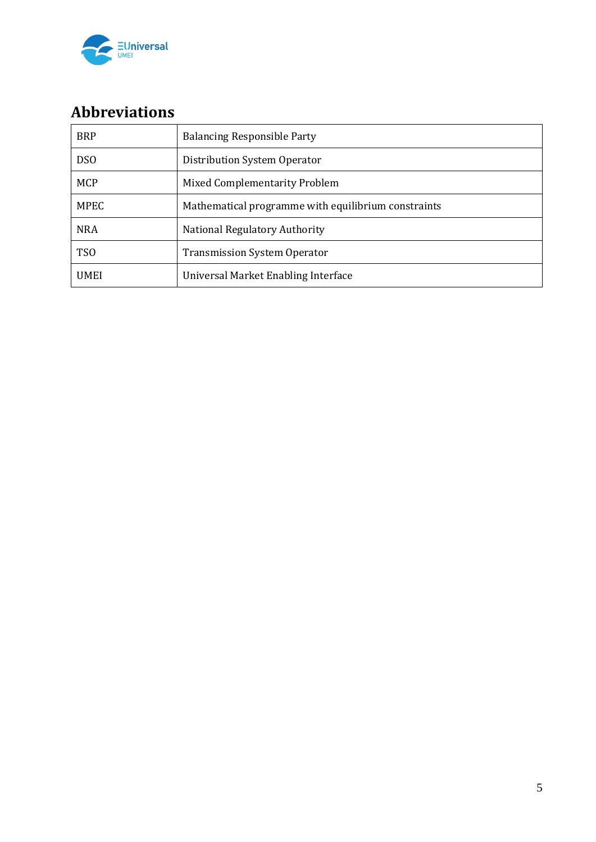

## **Abbreviations**

| <b>BRP</b>  | <b>Balancing Responsible Party</b>                  |
|-------------|-----------------------------------------------------|
| <b>DSO</b>  | Distribution System Operator                        |
| <b>MCP</b>  | <b>Mixed Complementarity Problem</b>                |
| <b>MPEC</b> | Mathematical programme with equilibrium constraints |
| <b>NRA</b>  | National Regulatory Authority                       |
| <b>TSO</b>  | <b>Transmission System Operator</b>                 |
| <b>UMEI</b> | Universal Market Enabling Interface                 |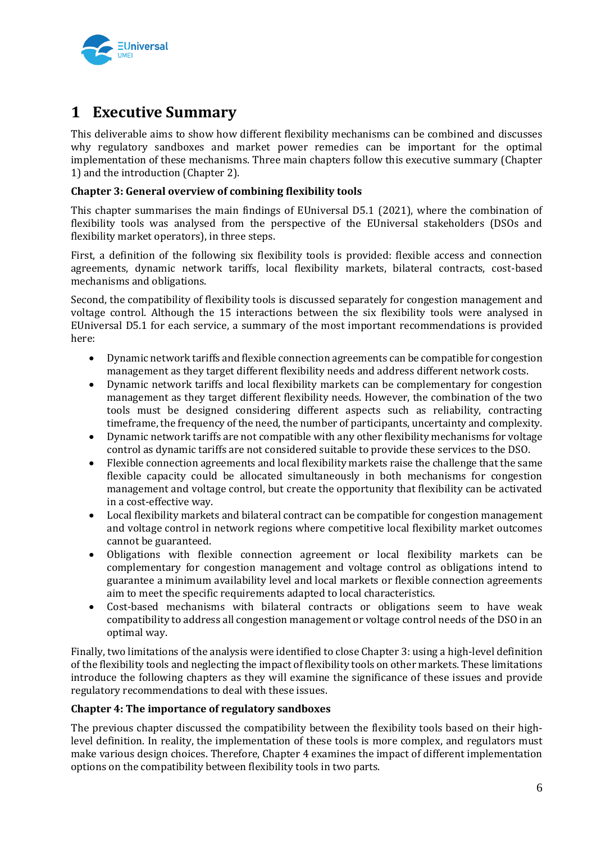

## **1 Executive Summary**

This deliverable aims to show how different flexibility mechanisms can be combined and discusses why regulatory sandboxes and market power remedies can be important for the optimal implementation of these mechanisms. Three main chapters follow this executive summary (Chapter 1) and the introduction (Chapter 2).

#### **Chapter 3: General overview of combining flexibility tools**

This chapter summarises the main findings of EUniversal D5.1 (2021), where the combination of flexibility tools was analysed from the perspective of the EUniversal stakeholders (DSOs and flexibility market operators), in three steps.

First, a definition of the following six flexibility tools is provided: flexible access and connection agreements, dynamic network tariffs, local flexibility markets, bilateral contracts, cost-based mechanisms and obligations.

Second, the compatibility of flexibility tools is discussed separately for congestion management and voltage control. Although the 15 interactions between the six flexibility tools were analysed in EUniversal D5.1 for each service, a summary of the most important recommendations is provided here:

- Dynamic network tariffs and flexible connection agreements can be compatible for congestion management as they target different flexibility needs and address different network costs.
- Dynamic network tariffs and local flexibility markets can be complementary for congestion management as they target different flexibility needs. However, the combination of the two tools must be designed considering different aspects such as reliability, contracting timeframe, the frequency of the need, the number of participants, uncertainty and complexity.
- Dynamic network tariffs are not compatible with any other flexibility mechanisms for voltage control as dynamic tariffs are not considered suitable to provide these services to the DSO.
- Flexible connection agreements and local flexibility markets raise the challenge that the same flexible capacity could be allocated simultaneously in both mechanisms for congestion management and voltage control, but create the opportunity that flexibility can be activated in a cost-effective way.
- Local flexibility markets and bilateral contract can be compatible for congestion management and voltage control in network regions where competitive local flexibility market outcomes cannot be guaranteed.
- Obligations with flexible connection agreement or local flexibility markets can be complementary for congestion management and voltage control as obligations intend to guarantee a minimum availability level and local markets or flexible connection agreements aim to meet the specific requirements adapted to local characteristics.
- Cost-based mechanisms with bilateral contracts or obligations seem to have weak compatibility to address all congestion management or voltage control needs of the DSO in an optimal way.

Finally, two limitations of the analysis were identified to close Chapter 3: using a high-level definition of the flexibility tools and neglecting the impact of flexibility tools on other markets. These limitations introduce the following chapters as they will examine the significance of these issues and provide regulatory recommendations to deal with these issues.

#### **Chapter 4: The importance of regulatory sandboxes**

The previous chapter discussed the compatibility between the flexibility tools based on their highlevel definition. In reality, the implementation of these tools is more complex, and regulators must make various design choices. Therefore, Chapter 4 examines the impact of different implementation options on the compatibility between flexibility tools in two parts.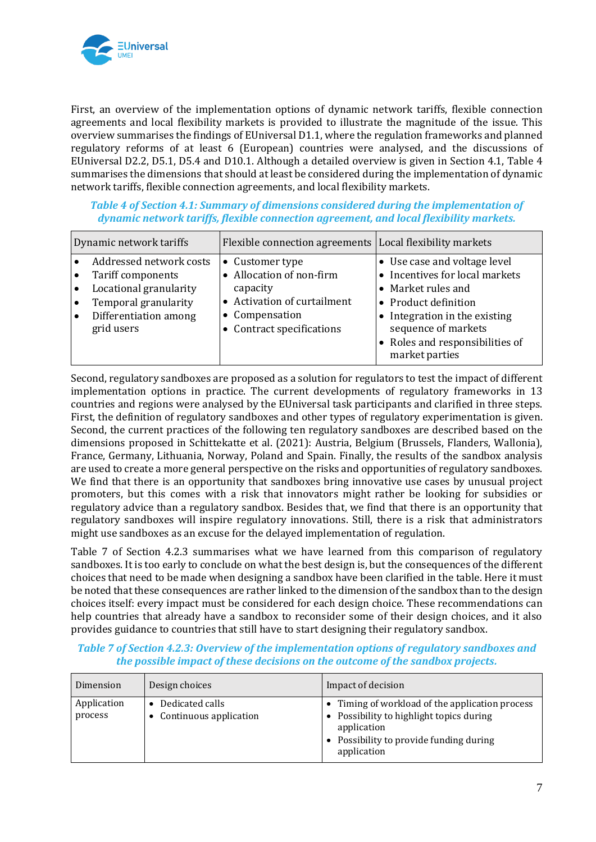

First, an overview of the implementation options of dynamic network tariffs, flexible connection agreements and local flexibility markets is provided to illustrate the magnitude of the issue. This overview summarises the findings of EUniversal D1.1, where the regulation frameworks and planned regulatory reforms of at least 6 (European) countries were analysed, and the discussions of EUniversal D2.2, D5.1, D5.4 and D10.1. Although a detailed overview is given in Section 4.1, Table 4 summarises the dimensions that should at least be considered during the implementation of dynamic network tariffs, flexible connection agreements, and local flexibility markets.

*Table 4 of Section 4.1: Summary of dimensions considered during the implementation of dynamic network tariffs, flexible connection agreement, and local flexibility markets.*

| Dynamic network tariffs                                                                                                                                                                   | Flexible connection agreements   Local flexibility markets                                                                        |                                                                                                                                                                                                                           |
|-------------------------------------------------------------------------------------------------------------------------------------------------------------------------------------------|-----------------------------------------------------------------------------------------------------------------------------------|---------------------------------------------------------------------------------------------------------------------------------------------------------------------------------------------------------------------------|
| Addressed network costs<br>Tariff components<br>$\bullet$<br>Locational granularity<br>$\bullet$<br>Temporal granularity<br>$\bullet$<br>Differentiation among<br>$\bullet$<br>grid users | • Customer type<br>Allocation of non-firm<br>capacity<br>• Activation of curtailment<br>• Compensation<br>Contract specifications | • Use case and voltage level<br>• Incentives for local markets<br>• Market rules and<br>• Product definition<br>• Integration in the existing<br>sequence of markets<br>• Roles and responsibilities of<br>market parties |

Second, regulatory sandboxes are proposed as a solution for regulators to test the impact of different implementation options in practice. The current developments of regulatory frameworks in 13 countries and regions were analysed by the EUniversal task participants and clarified in three steps. First, the definition of regulatory sandboxes and other types of regulatory experimentation is given. Second, the current practices of the following ten regulatory sandboxes are described based on the dimensions proposed in Schittekatte et al. (2021): Austria, Belgium (Brussels, Flanders, Wallonia), France, Germany, Lithuania, Norway, Poland and Spain. Finally, the results of the sandbox analysis are used to create a more general perspective on the risks and opportunities of regulatory sandboxes. We find that there is an opportunity that sandboxes bring innovative use cases by unusual project promoters, but this comes with a risk that innovators might rather be looking for subsidies or regulatory advice than a regulatory sandbox. Besides that, we find that there is an opportunity that regulatory sandboxes will inspire regulatory innovations. Still, there is a risk that administrators might use sandboxes as an excuse for the delayed implementation of regulation.

Table 7 of Section 4.2.3 summarises what we have learned from this comparison of regulatory sandboxes. It is too early to conclude on what the best design is, but the consequences of the different choices that need to be made when designing a sandbox have been clarified in the table. Here it must be noted that these consequences are rather linked to the dimension of the sandbox than to the design choices itself: every impact must be considered for each design choice. These recommendations can help countries that already have a sandbox to reconsider some of their design choices, and it also provides guidance to countries that still have to start designing their regulatory sandbox.

#### *Table 7 of Section 4.2.3: Overview of the implementation options of regulatory sandboxes and the possible impact of these decisions on the outcome of the sandbox projects.*

| Dimension              | Design choices                            | Impact of decision                                                                                                                                                   |
|------------------------|-------------------------------------------|----------------------------------------------------------------------------------------------------------------------------------------------------------------------|
| Application<br>process | Dedicated calls<br>Continuous application | • Timing of workload of the application process<br>• Possibility to highlight topics during<br>application<br>• Possibility to provide funding during<br>application |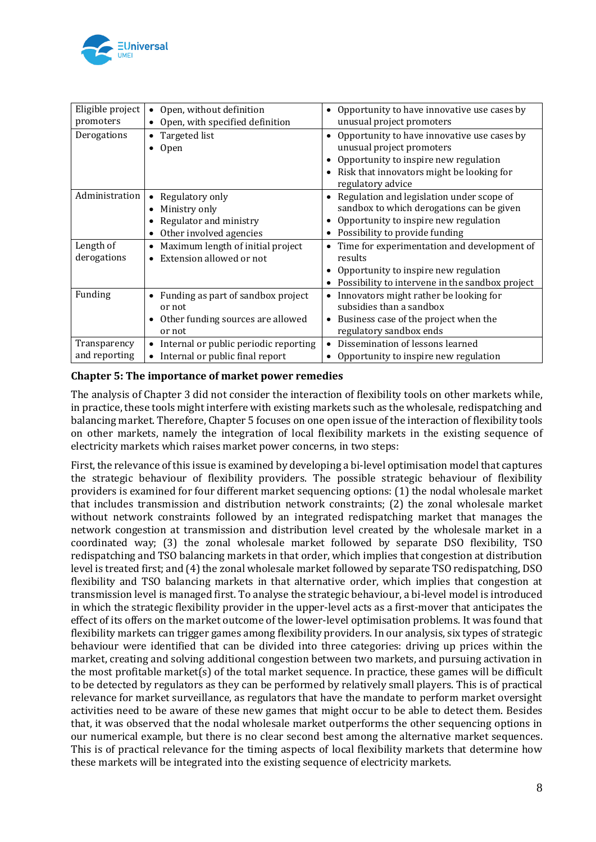

| Eligible project<br>promoters | Open, without definition<br>Open, with specified definition                                 | Opportunity to have innovative use cases by<br>$\bullet$<br>unusual project promoters                                                                                                            |
|-------------------------------|---------------------------------------------------------------------------------------------|--------------------------------------------------------------------------------------------------------------------------------------------------------------------------------------------------|
| Derogations                   | • Targeted list<br>Open                                                                     | Opportunity to have innovative use cases by<br>$\bullet$<br>unusual project promoters<br>Opportunity to inspire new regulation<br>Risk that innovators might be looking for<br>regulatory advice |
| Administration                | Regulatory only<br>Ministry only<br>Regulator and ministry<br>Other involved agencies       | Regulation and legislation under scope of<br>$\bullet$<br>sandbox to which derogations can be given<br>Opportunity to inspire new regulation<br>Possibility to provide funding<br>$\bullet$      |
| Length of<br>derogations      | Maximum length of initial project<br>• Extension allowed or not                             | Time for experimentation and development of<br>results<br>Opportunity to inspire new regulation<br>Possibility to intervene in the sandbox project                                               |
| Funding                       | Funding as part of sandbox project<br>or not<br>Other funding sources are allowed<br>or not | Innovators might rather be looking for<br>subsidies than a sandbox<br>• Business case of the project when the<br>regulatory sandbox ends                                                         |
| Transparency<br>and reporting | • Internal or public periodic reporting<br>Internal or public final report<br>$\bullet$     | Dissemination of lessons learned<br>Opportunity to inspire new regulation                                                                                                                        |

#### **Chapter 5: The importance of market power remedies**

The analysis of Chapter 3 did not consider the interaction of flexibility tools on other markets while, in practice, these tools might interfere with existing markets such as the wholesale, redispatching and balancing market. Therefore, Chapter 5 focuses on one open issue of the interaction of flexibility tools on other markets, namely the integration of local flexibility markets in the existing sequence of electricity markets which raises market power concerns, in two steps:

First, the relevance of this issue is examined by developing a bi-level optimisation model that captures the strategic behaviour of flexibility providers. The possible strategic behaviour of flexibility providers is examined for four different market sequencing options: (1) the nodal wholesale market that includes transmission and distribution network constraints; (2) the zonal wholesale market without network constraints followed by an integrated redispatching market that manages the network congestion at transmission and distribution level created by the wholesale market in a coordinated way; (3) the zonal wholesale market followed by separate DSO flexibility, TSO redispatching and TSO balancing markets in that order, which implies that congestion at distribution level is treated first; and (4) the zonal wholesale market followed by separate TSO redispatching, DSO flexibility and TSO balancing markets in that alternative order, which implies that congestion at transmission level is managed first. To analyse the strategic behaviour, a bi-level model is introduced in which the strategic flexibility provider in the upper-level acts as a first-mover that anticipates the effect of its offers on the market outcome of the lower-level optimisation problems. It was found that flexibility markets can trigger games among flexibility providers. In our analysis, six types of strategic behaviour were identified that can be divided into three categories: driving up prices within the market, creating and solving additional congestion between two markets, and pursuing activation in the most profitable market(s) of the total market sequence. In practice, these games will be difficult to be detected by regulators as they can be performed by relatively small players. This is of practical relevance for market surveillance, as regulators that have the mandate to perform market oversight activities need to be aware of these new games that might occur to be able to detect them. Besides that, it was observed that the nodal wholesale market outperforms the other sequencing options in our numerical example, but there is no clear second best among the alternative market sequences. This is of practical relevance for the timing aspects of local flexibility markets that determine how these markets will be integrated into the existing sequence of electricity markets.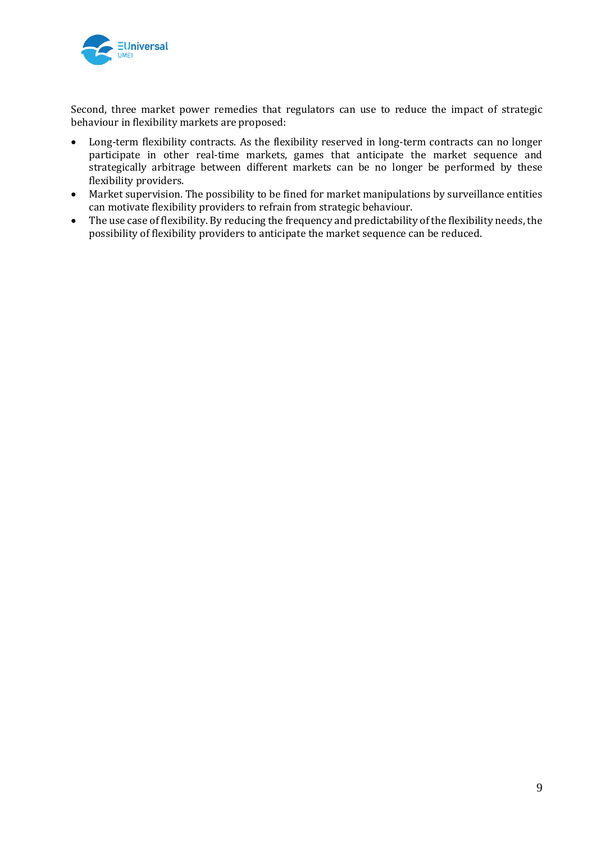

Second, three market power remedies that regulators can use to reduce the impact of strategic behaviour in flexibility markets are proposed:

- Long-term flexibility contracts. As the flexibility reserved in long-term contracts can no longer participate in other real-time markets, games that anticipate the market sequence and strategically arbitrage between different markets can be no longer be performed by these flexibility providers.
- Market supervision. The possibility to be fined for market manipulations by surveillance entities can motivate flexibility providers to refrain from strategic behaviour.
- The use case of flexibility. By reducing the frequency and predictability of the flexibility needs, the possibility of flexibility providers to anticipate the market sequence can be reduced.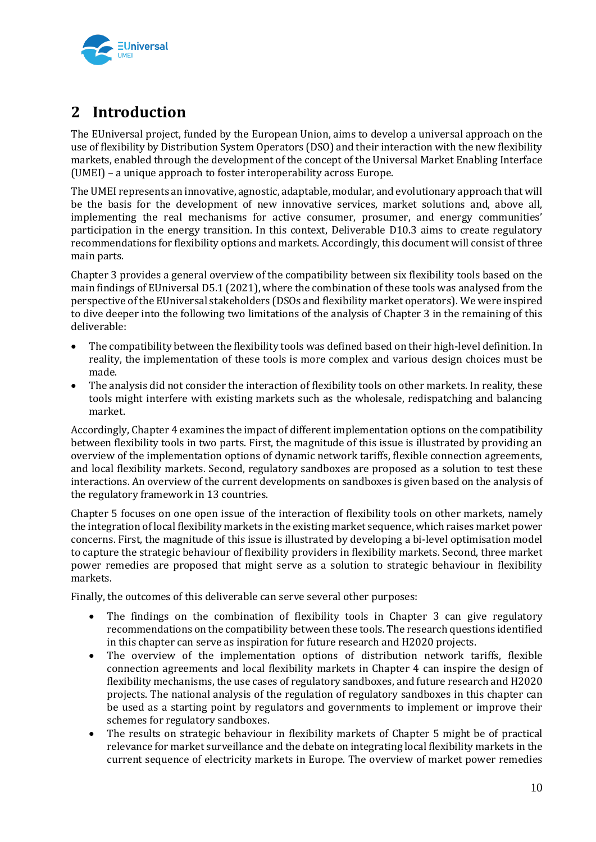

## **2 Introduction**

The EUniversal project, funded by the European Union, aims to develop a universal approach on the use of flexibility by Distribution System Operators (DSO) and their interaction with the new flexibility markets, enabled through the development of the concept of the Universal Market Enabling Interface (UMEI) – a unique approach to foster interoperability across Europe.

The UMEI represents an innovative, agnostic, adaptable, modular, and evolutionary approach that will be the basis for the development of new innovative services, market solutions and, above all, implementing the real mechanisms for active consumer, prosumer, and energy communities' participation in the energy transition. In this context, Deliverable D10.3 aims to create regulatory recommendations for flexibility options and markets. Accordingly, this document will consist of three main parts.

Chapter 3 provides a general overview of the compatibility between six flexibility tools based on the main findings of EUniversal D5.1 (2021), where the combination of these tools was analysed from the perspective of the EUniversal stakeholders (DSOs and flexibility market operators). We were inspired to dive deeper into the following two limitations of the analysis of Chapter 3 in the remaining of this deliverable:

- The compatibility between the flexibility tools was defined based on their high-level definition. In reality, the implementation of these tools is more complex and various design choices must be made.
- The analysis did not consider the interaction of flexibility tools on other markets. In reality, these tools might interfere with existing markets such as the wholesale, redispatching and balancing market.

Accordingly, Chapter 4 examines the impact of different implementation options on the compatibility between flexibility tools in two parts. First, the magnitude of this issue is illustrated by providing an overview of the implementation options of dynamic network tariffs, flexible connection agreements, and local flexibility markets. Second, regulatory sandboxes are proposed as a solution to test these interactions. An overview of the current developments on sandboxes is given based on the analysis of the regulatory framework in 13 countries.

Chapter 5 focuses on one open issue of the interaction of flexibility tools on other markets, namely the integration of local flexibility markets in the existing market sequence, which raises market power concerns. First, the magnitude of this issue is illustrated by developing a bi-level optimisation model to capture the strategic behaviour of flexibility providers in flexibility markets. Second, three market power remedies are proposed that might serve as a solution to strategic behaviour in flexibility markets.

Finally, the outcomes of this deliverable can serve several other purposes:

- The findings on the combination of flexibility tools in Chapter 3 can give regulatory recommendations on the compatibility between these tools. The research questions identified in this chapter can serve as inspiration for future research and H2020 projects.
- The overview of the implementation options of distribution network tariffs, flexible connection agreements and local flexibility markets in Chapter 4 can inspire the design of flexibility mechanisms, the use cases of regulatory sandboxes, and future research and H2020 projects. The national analysis of the regulation of regulatory sandboxes in this chapter can be used as a starting point by regulators and governments to implement or improve their schemes for regulatory sandboxes.
- The results on strategic behaviour in flexibility markets of Chapter 5 might be of practical relevance for market surveillance and the debate on integrating local flexibility markets in the current sequence of electricity markets in Europe. The overview of market power remedies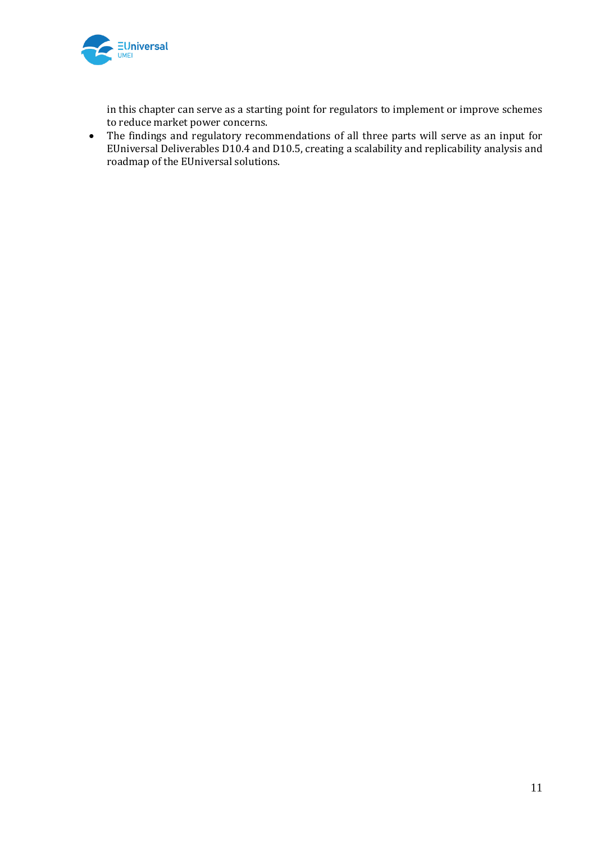

in this chapter can serve as a starting point for regulators to implement or improve schemes to reduce market power concerns.

• The findings and regulatory recommendations of all three parts will serve as an input for EUniversal Deliverables D10.4 and D10.5, creating a scalability and replicability analysis and roadmap of the EUniversal solutions.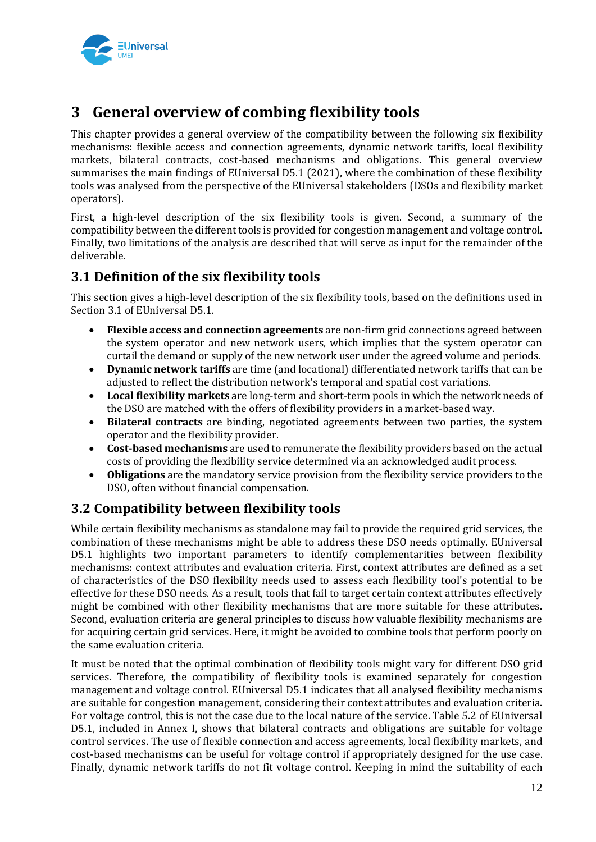

## **3 General overview of combing flexibility tools**

This chapter provides a general overview of the compatibility between the following six flexibility mechanisms: flexible access and connection agreements, dynamic network tariffs, local flexibility markets, bilateral contracts, cost-based mechanisms and obligations. This general overview summarises the main findings of EUniversal D5.1 (2021), where the combination of these flexibility tools was analysed from the perspective of the EUniversal stakeholders (DSOs and flexibility market operators).

First, a high-level description of the six flexibility tools is given. Second, a summary of the compatibility between the different tools is provided for congestion management and voltage control. Finally, two limitations of the analysis are described that will serve as input for the remainder of the deliverable.

## **3.1 Definition of the six flexibility tools**

This section gives a high-level description of the six flexibility tools, based on the definitions used in Section 3.1 of EUniversal D5.1.

- **Flexible access and connection agreements** are non-firm grid connections agreed between the system operator and new network users, which implies that the system operator can curtail the demand or supply of the new network user under the agreed volume and periods.
- **Dynamic network tariffs** are time (and locational) differentiated network tariffs that can be adjusted to reflect the distribution network's temporal and spatial cost variations.
- **Local flexibility markets** are long-term and short-term pools in which the network needs of the DSO are matched with the offers of flexibility providers in a market-based way.
- **Bilateral contracts** are binding, negotiated agreements between two parties, the system operator and the flexibility provider.
- **Cost-based mechanisms** are used to remunerate the flexibility providers based on the actual costs of providing the flexibility service determined via an acknowledged audit process.
- **Obligations** are the mandatory service provision from the flexibility service providers to the DSO, often without financial compensation.

## **3.2 Compatibility between flexibility tools**

While certain flexibility mechanisms as standalone may fail to provide the required grid services, the combination of these mechanisms might be able to address these DSO needs optimally. EUniversal D5.1 highlights two important parameters to identify complementarities between flexibility mechanisms: context attributes and evaluation criteria. First, context attributes are defined as a set of characteristics of the DSO flexibility needs used to assess each flexibility tool's potential to be effective for these DSO needs. As a result, tools that fail to target certain context attributes effectively might be combined with other flexibility mechanisms that are more suitable for these attributes. Second, evaluation criteria are general principles to discuss how valuable flexibility mechanisms are for acquiring certain grid services. Here, it might be avoided to combine tools that perform poorly on the same evaluation criteria.

It must be noted that the optimal combination of flexibility tools might vary for different DSO grid services. Therefore, the compatibility of flexibility tools is examined separately for congestion management and voltage control. EUniversal D5.1 indicates that all analysed flexibility mechanisms are suitable for congestion management, considering their context attributes and evaluation criteria. For voltage control, this is not the case due to the local nature of the service. Table 5.2 of EUniversal D5.1, included in Annex I, shows that bilateral contracts and obligations are suitable for voltage control services. The use of flexible connection and access agreements, local flexibility markets, and cost-based mechanisms can be useful for voltage control if appropriately designed for the use case. Finally, dynamic network tariffs do not fit voltage control. Keeping in mind the suitability of each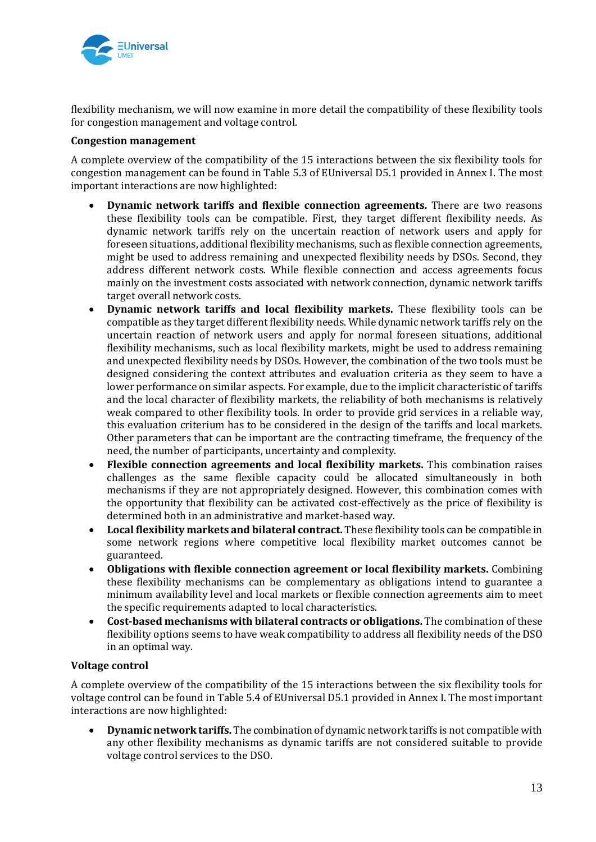

flexibility mechanism, we will now examine in more detail the compatibility of these flexibility tools for congestion management and voltage control.

#### **Congestion management**

A complete overview of the compatibility of the 15 interactions between the six flexibility tools for congestion management can be found in Table 5.3 of EUniversal D5.1 provided in Annex I. The most important interactions are now highlighted:

- **Dynamic network tariffs and flexible connection agreements.** There are two reasons these flexibility tools can be compatible. First, they target different flexibility needs. As dynamic network tariffs rely on the uncertain reaction of network users and apply for foreseen situations, additional flexibility mechanisms, such as flexible connection agreements, might be used to address remaining and unexpected flexibility needs by DSOs. Second, they address different network costs. While flexible connection and access agreements focus mainly on the investment costs associated with network connection, dynamic network tariffs target overall network costs.
- **Dynamic network tariffs and local flexibility markets.** These flexibility tools can be compatible as they target different flexibility needs. While dynamic network tariffs rely on the uncertain reaction of network users and apply for normal foreseen situations, additional flexibility mechanisms, such as local flexibility markets, might be used to address remaining and unexpected flexibility needs by DSOs. However, the combination of the two tools must be designed considering the context attributes and evaluation criteria as they seem to have a lower performance on similar aspects. For example, due to the implicit characteristic of tariffs and the local character of flexibility markets, the reliability of both mechanisms is relatively weak compared to other flexibility tools. In order to provide grid services in a reliable way, this evaluation criterium has to be considered in the design of the tariffs and local markets. Other parameters that can be important are the contracting timeframe, the frequency of the need, the number of participants, uncertainty and complexity.
- **Flexible connection agreements and local flexibility markets.** This combination raises challenges as the same flexible capacity could be allocated simultaneously in both mechanisms if they are not appropriately designed. However, this combination comes with the opportunity that flexibility can be activated cost-effectively as the price of flexibility is determined both in an administrative and market-based way.
- **Local flexibility markets and bilateral contract.** These flexibility tools can be compatible in some network regions where competitive local flexibility market outcomes cannot be guaranteed.
- **Obligations with flexible connection agreement or local flexibility markets.** Combining these flexibility mechanisms can be complementary as obligations intend to guarantee a minimum availability level and local markets or flexible connection agreements aim to meet the specific requirements adapted to local characteristics.
- **Cost-based mechanisms with bilateral contracts or obligations.** The combination of these flexibility options seems to have weak compatibility to address all flexibility needs of the DSO in an optimal way.

#### **Voltage control**

A complete overview of the compatibility of the 15 interactions between the six flexibility tools for voltage control can be found in Table 5.4 of EUniversal D5.1 provided in Annex I. The most important interactions are now highlighted:

• **Dynamic network tariffs.** The combination of dynamic network tariffs is not compatible with any other flexibility mechanisms as dynamic tariffs are not considered suitable to provide voltage control services to the DSO.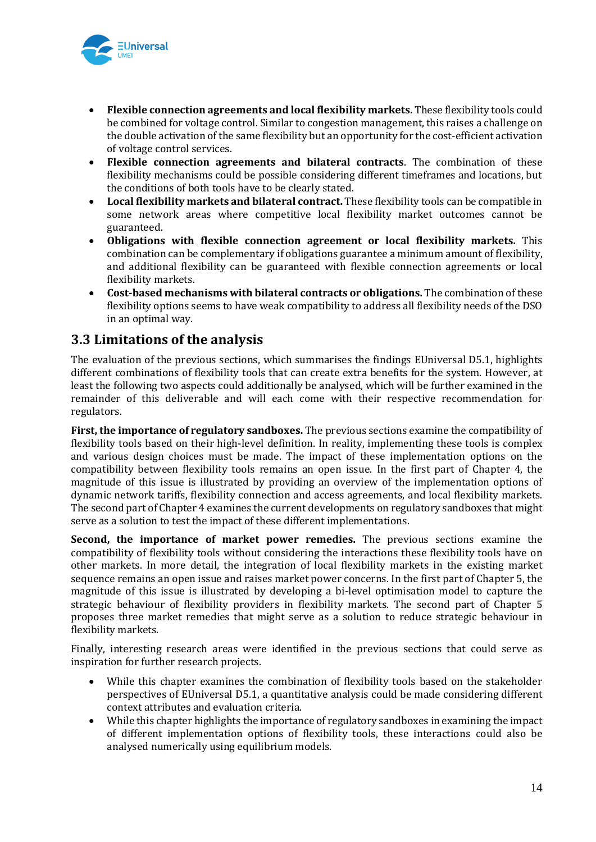

- **Flexible connection agreements and local flexibility markets.** These flexibility tools could be combined for voltage control. Similar to congestion management, this raises a challenge on the double activation of the same flexibility but an opportunity for the cost-efficient activation of voltage control services.
- **Flexible connection agreements and bilateral contracts**. The combination of these flexibility mechanisms could be possible considering different timeframes and locations, but the conditions of both tools have to be clearly stated.
- **Local flexibility markets and bilateral contract.** These flexibility tools can be compatible in some network areas where competitive local flexibility market outcomes cannot be guaranteed.
- **Obligations with flexible connection agreement or local flexibility markets.** This combination can be complementary if obligations guarantee a minimum amount of flexibility, and additional flexibility can be guaranteed with flexible connection agreements or local flexibility markets.
- **Cost-based mechanisms with bilateral contracts or obligations.** The combination of these flexibility options seems to have weak compatibility to address all flexibility needs of the DSO in an optimal way.

## **3.3 Limitations of the analysis**

The evaluation of the previous sections, which summarises the findings EUniversal D5.1, highlights different combinations of flexibility tools that can create extra benefits for the system. However, at least the following two aspects could additionally be analysed, which will be further examined in the remainder of this deliverable and will each come with their respective recommendation for regulators.

**First, the importance of regulatory sandboxes.** The previous sections examine the compatibility of flexibility tools based on their high-level definition. In reality, implementing these tools is complex and various design choices must be made. The impact of these implementation options on the compatibility between flexibility tools remains an open issue. In the first part of Chapter 4, the magnitude of this issue is illustrated by providing an overview of the implementation options of dynamic network tariffs, flexibility connection and access agreements, and local flexibility markets. The second part of Chapter 4 examines the current developments on regulatory sandboxes that might serve as a solution to test the impact of these different implementations.

**Second, the importance of market power remedies.** The previous sections examine the compatibility of flexibility tools without considering the interactions these flexibility tools have on other markets. In more detail, the integration of local flexibility markets in the existing market sequence remains an open issue and raises market power concerns. In the first part of Chapter 5, the magnitude of this issue is illustrated by developing a bi-level optimisation model to capture the strategic behaviour of flexibility providers in flexibility markets. The second part of Chapter 5 proposes three market remedies that might serve as a solution to reduce strategic behaviour in flexibility markets.

Finally, interesting research areas were identified in the previous sections that could serve as inspiration for further research projects.

- While this chapter examines the combination of flexibility tools based on the stakeholder perspectives of EUniversal D5.1, a quantitative analysis could be made considering different context attributes and evaluation criteria.
- While this chapter highlights the importance of regulatory sandboxes in examining the impact of different implementation options of flexibility tools, these interactions could also be analysed numerically using equilibrium models.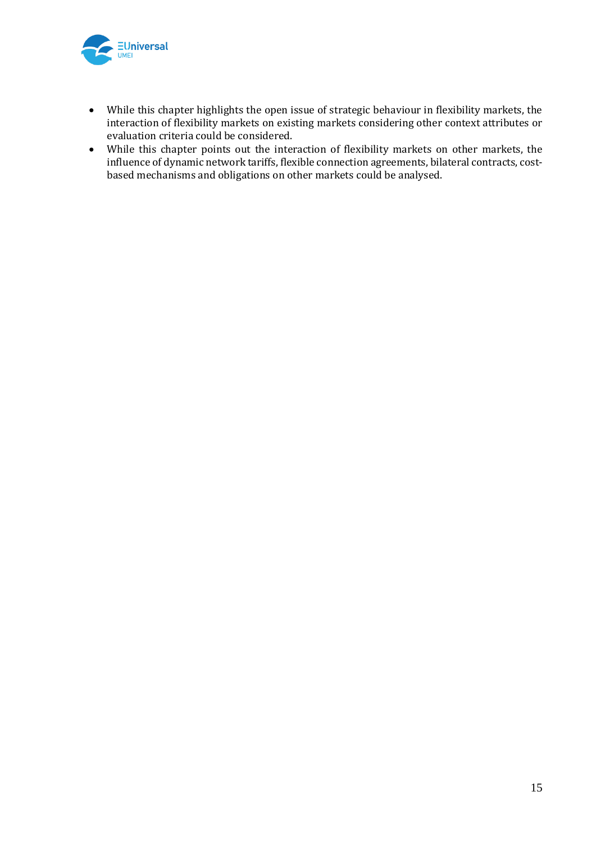

- While this chapter highlights the open issue of strategic behaviour in flexibility markets, the interaction of flexibility markets on existing markets considering other context attributes or evaluation criteria could be considered.
- While this chapter points out the interaction of flexibility markets on other markets, the influence of dynamic network tariffs, flexible connection agreements, bilateral contracts, costbased mechanisms and obligations on other markets could be analysed.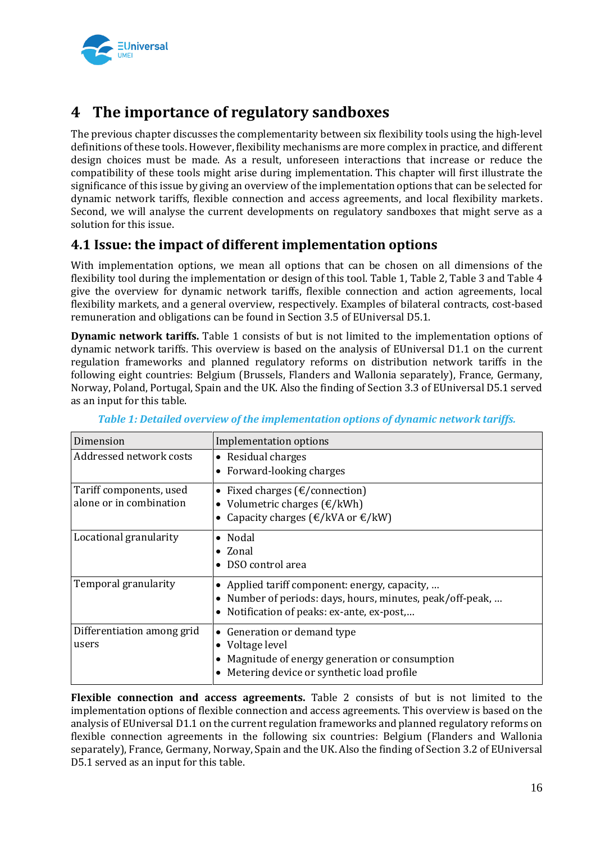

## **4 The importance of regulatory sandboxes**

The previous chapter discusses the complementarity between six flexibility tools using the high-level definitions of these tools. However, flexibility mechanisms are more complex in practice, and different design choices must be made. As a result, unforeseen interactions that increase or reduce the compatibility of these tools might arise during implementation. This chapter will first illustrate the significance of this issue by giving an overview of the implementation options that can be selected for dynamic network tariffs, flexible connection and access agreements, and local flexibility markets. Second, we will analyse the current developments on regulatory sandboxes that might serve as a solution for this issue.

## **4.1 Issue: the impact of different implementation options**

With implementation options, we mean all options that can be chosen on all dimensions of the flexibility tool during the implementation or design of this tool. Table 1, Table 2, Table 3 and Table 4 give the overview for dynamic network tariffs, flexible connection and action agreements, local flexibility markets, and a general overview, respectively. Examples of bilateral contracts, cost-based remuneration and obligations can be found in Section 3.5 of EUniversal D5.1.

**Dynamic network tariffs.** Table 1 consists of but is not limited to the implementation options of dynamic network tariffs. This overview is based on the analysis of EUniversal D1.1 on the current regulation frameworks and planned regulatory reforms on distribution network tariffs in the following eight countries: Belgium (Brussels, Flanders and Wallonia separately), France, Germany, Norway, Poland, Portugal, Spain and the UK. Also the finding of Section 3.3 of EUniversal D5.1 served as an input for this table.

| Dimension                                          | Implementation options                                                                                                                                          |
|----------------------------------------------------|-----------------------------------------------------------------------------------------------------------------------------------------------------------------|
| Addressed network costs                            | • Residual charges<br>Forward-looking charges<br>$\bullet$                                                                                                      |
| Tariff components, used<br>alone or in combination | Fixed charges ( $\epsilon$ /connection)<br>$\bullet$<br>• Volumetric charges $(\text{E/kWh})$<br>Capacity charges ( $\epsilon$ /kVA or $\epsilon$ /kW)          |
| Locational granularity                             | Nodal<br>$\bullet$<br>$\bullet$ Zonal<br>DSO control area                                                                                                       |
| Temporal granularity                               | Applied tariff component: energy, capacity,<br>$\bullet$<br>Number of periods: days, hours, minutes, peak/off-peak,<br>Notification of peaks: ex-ante, ex-post, |
| Differentiation among grid<br>users                | Generation or demand type<br>$\bullet$<br>Voltage level<br>٠<br>Magnitude of energy generation or consumption<br>Metering device or synthetic load profile      |

*Table 1: Detailed overview of the implementation options of dynamic network tariffs.*

**Flexible connection and access agreements.** Table 2 consists of but is not limited to the implementation options of flexible connection and access agreements. This overview is based on the analysis of EUniversal D1.1 on the current regulation frameworks and planned regulatory reforms on flexible connection agreements in the following six countries: Belgium (Flanders and Wallonia separately), France, Germany, Norway, Spain and the UK. Also the finding of Section 3.2 of EUniversal D5.1 served as an input for this table.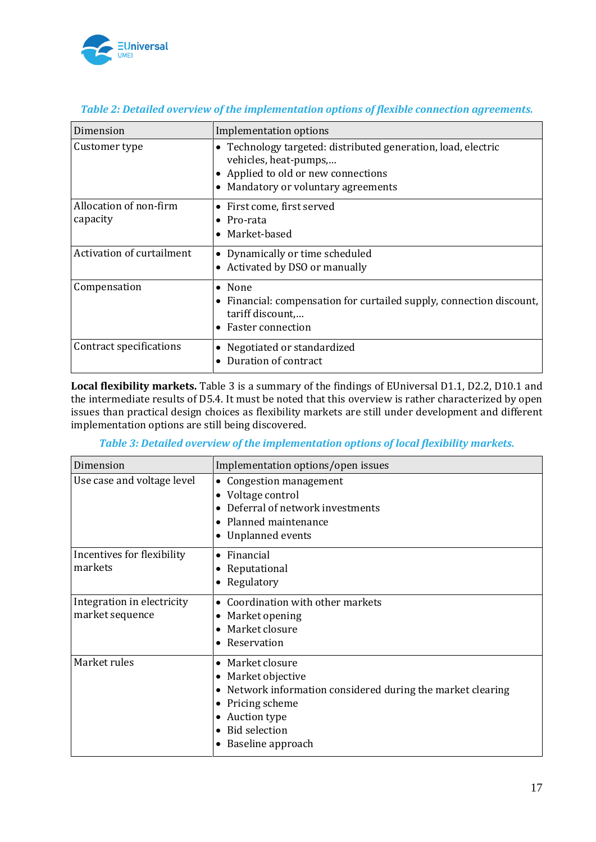

| Dimension                          | Implementation options                                                                                                                                                          |
|------------------------------------|---------------------------------------------------------------------------------------------------------------------------------------------------------------------------------|
| Customer type                      | • Technology targeted: distributed generation, load, electric<br>vehicles, heat-pumps,<br>• Applied to old or new connections<br>Mandatory or voluntary agreements<br>$\bullet$ |
| Allocation of non-firm<br>capacity | • First come, first served<br>$\bullet$ Pro-rata<br>Market-based<br>$\bullet$                                                                                                   |
| Activation of curtailment          | • Dynamically or time scheduled<br>• Activated by DSO or manually                                                                                                               |
| Compensation                       | $\bullet$ None<br>• Financial: compensation for curtailed supply, connection discount,<br>tariff discount,<br><b>Faster connection</b><br>$\bullet$                             |
| Contract specifications            | Negotiated or standardized<br>Duration of contract                                                                                                                              |

#### *Table 2: Detailed overview of the implementation options of flexible connection agreements.*

**Local flexibility markets.** Table 3 is a summary of the findings of EUniversal D1.1, D2.2, D10.1 and the intermediate results of D5.4. It must be noted that this overview is rather characterized by open issues than practical design choices as flexibility markets are still under development and different implementation options are still being discovered.

#### *Table 3: Detailed overview of the implementation options of local flexibility markets.*

| Dimension                                     | Implementation options/open issues                                                                                                                                                                                      |
|-----------------------------------------------|-------------------------------------------------------------------------------------------------------------------------------------------------------------------------------------------------------------------------|
| Use case and voltage level                    | Congestion management<br>$\bullet$<br>Voltage control<br>$\bullet$<br>Deferral of network investments<br>Planned maintenance<br>٠<br><b>Unplanned events</b><br>$\bullet$                                               |
| Incentives for flexibility<br>markets         | Financial<br>$\bullet$<br>Reputational<br>$\bullet$<br>Regulatory<br>$\bullet$                                                                                                                                          |
| Integration in electricity<br>market sequence | Coordination with other markets<br>Market opening<br>$\bullet$<br>Market closure<br>$\bullet$<br>Reservation<br>$\bullet$                                                                                               |
| Market rules                                  | Market closure<br>$\bullet$<br>Market objective<br>$\bullet$<br>Network information considered during the market clearing<br>٠<br>Pricing scheme<br>٠<br>Auction type<br>٠<br><b>Bid selection</b><br>Baseline approach |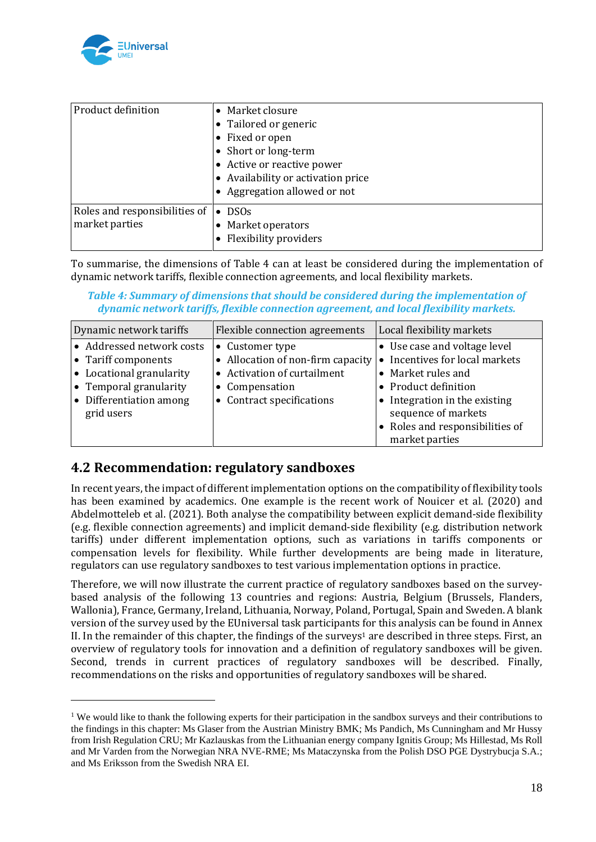

| Product definition                              | • Market closure<br>• Tailored or generic<br>• Fixed or open<br>• Short or long-term<br>• Active or reactive power<br>• Availability or activation price<br>• Aggregation allowed or not |
|-------------------------------------------------|------------------------------------------------------------------------------------------------------------------------------------------------------------------------------------------|
| Roles and responsibilities of<br>market parties | <b>DSOs</b><br>$\bullet$<br>Market operators<br>Flexibility providers                                                                                                                    |

To summarise, the dimensions of Table 4 can at least be considered during the implementation of dynamic network tariffs, flexible connection agreements, and local flexibility markets.

*Table 4: Summary of dimensions that should be considered during the implementation of dynamic network tariffs, flexible connection agreement, and local flexibility markets.*

| Dynamic network tariffs        | Flexible connection agreements  | Local flexibility markets       |
|--------------------------------|---------------------------------|---------------------------------|
| • Addressed network costs      | • Customer type                 | • Use case and voltage level    |
| • Tariff components            | Allocation of non-firm capacity | Incentives for local markets    |
| • Locational granularity       | Activation of curtailment       | • Market rules and              |
| $\bullet$ Temporal granularity | Compensation                    | • Product definition            |
| • Differentiation among        | Contract specifications         | • Integration in the existing   |
| grid users                     |                                 | sequence of markets             |
|                                |                                 | • Roles and responsibilities of |
|                                |                                 | market parties                  |

## **4.2 Recommendation: regulatory sandboxes**

In recent years, the impact of different implementation options on the compatibility of flexibility tools has been examined by academics. One example is the recent work of Nouicer et al. (2020) and Abdelmotteleb et al. (2021). Both analyse the compatibility between explicit demand-side flexibility (e.g. flexible connection agreements) and implicit demand-side flexibility (e.g. distribution network tariffs) under different implementation options, such as variations in tariffs components or compensation levels for flexibility. While further developments are being made in literature, regulators can use regulatory sandboxes to test various implementation options in practice.

Therefore, we will now illustrate the current practice of regulatory sandboxes based on the surveybased analysis of the following 13 countries and regions: Austria, Belgium (Brussels, Flanders, Wallonia), France, Germany, Ireland, Lithuania, Norway, Poland, Portugal, Spain and Sweden. A blank version of the survey used by the EUniversal task participants for this analysis can be found in Annex II. In the remainder of this chapter, the findings of the surveys<sup>1</sup> are described in three steps. First, an overview of regulatory tools for innovation and a definition of regulatory sandboxes will be given. Second, trends in current practices of regulatory sandboxes will be described. Finally, recommendations on the risks and opportunities of regulatory sandboxes will be shared.

<sup>&</sup>lt;sup>1</sup> We would like to thank the following experts for their participation in the sandbox surveys and their contributions to the findings in this chapter: Ms Glaser from the Austrian Ministry BMK; Ms Pandich, Ms Cunningham and Mr Hussy from Irish Regulation CRU; Mr Kazlauskas from the Lithuanian energy company Ignitis Group; Ms Hillestad, Ms Roll and Mr Varden from the Norwegian NRA NVE-RME; Ms Mataczynska from the Polish DSO PGE Dystrybucja S.A.; and Ms Eriksson from the Swedish NRA EI.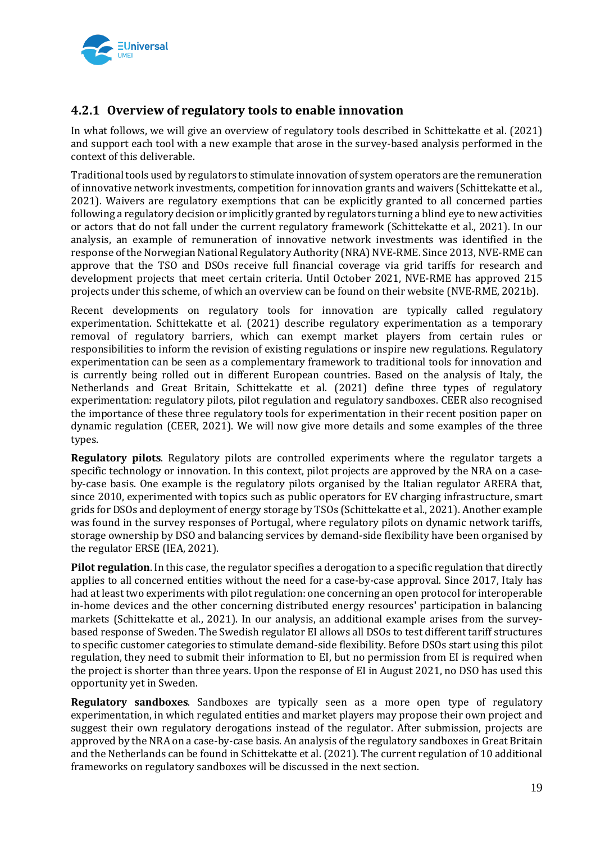

## **4.2.1 Overview of regulatory tools to enable innovation**

In what follows, we will give an overview of regulatory tools described in Schittekatte et al. (2021) and support each tool with a new example that arose in the survey-based analysis performed in the context of this deliverable.

Traditional tools used by regulators to stimulate innovation of system operators are the remuneration of innovative network investments, competition for innovation grants and waivers (Schittekatte et al., 2021). Waivers are regulatory exemptions that can be explicitly granted to all concerned parties following a regulatory decision or implicitly granted by regulators turning a blind eye to new activities or actors that do not fall under the current regulatory framework (Schittekatte et al., 2021). In our analysis, an example of remuneration of innovative network investments was identified in the response of the Norwegian National Regulatory Authority (NRA) NVE-RME. Since 2013, NVE-RME can approve that the TSO and DSOs receive full financial coverage via grid tariffs for research and development projects that meet certain criteria. Until October 2021, NVE-RME has approved 215 projects under this scheme, of which an overview can be found on their website (NVE-RME, 2021b).

Recent developments on regulatory tools for innovation are typically called regulatory experimentation. Schittekatte et al. (2021) describe regulatory experimentation as a temporary removal of regulatory barriers, which can exempt market players from certain rules or responsibilities to inform the revision of existing regulations or inspire new regulations. Regulatory experimentation can be seen as a complementary framework to traditional tools for innovation and is currently being rolled out in different European countries. Based on the analysis of Italy, the Netherlands and Great Britain, Schittekatte et al. (2021) define three types of regulatory experimentation: regulatory pilots, pilot regulation and regulatory sandboxes. CEER also recognised the importance of these three regulatory tools for experimentation in their recent position paper on dynamic regulation (CEER, 2021). We will now give more details and some examples of the three types.

**Regulatory pilots**. Regulatory pilots are controlled experiments where the regulator targets a specific technology or innovation. In this context, pilot projects are approved by the NRA on a caseby-case basis. One example is the regulatory pilots organised by the Italian regulator ARERA that, since 2010, experimented with topics such as public operators for EV charging infrastructure, smart grids for DSOs and deployment of energy storage by TSOs (Schittekatte et al., 2021). Another example was found in the survey responses of Portugal, where regulatory pilots on dynamic network tariffs, storage ownership by DSO and balancing services by demand-side flexibility have been organised by the regulator ERSE (IEA, 2021).

**Pilot regulation**. In this case, the regulator specifies a derogation to a specific regulation that directly applies to all concerned entities without the need for a case-by-case approval. Since 2017, Italy has had at least two experiments with pilot regulation: one concerning an open protocol for interoperable in-home devices and the other concerning distributed energy resources' participation in balancing markets (Schittekatte et al., 2021). In our analysis, an additional example arises from the surveybased response of Sweden. The Swedish regulator EI allows all DSOs to test different tariff structures to specific customer categories to stimulate demand-side flexibility. Before DSOs start using this pilot regulation, they need to submit their information to EI, but no permission from EI is required when the project is shorter than three years. Upon the response of EI in August 2021, no DSO has used this opportunity yet in Sweden.

**Regulatory sandboxes**. Sandboxes are typically seen as a more open type of regulatory experimentation, in which regulated entities and market players may propose their own project and suggest their own regulatory derogations instead of the regulator. After submission, projects are approved by the NRA on a case-by-case basis. An analysis of the regulatory sandboxes in Great Britain and the Netherlands can be found in Schittekatte et al. (2021). The current regulation of 10 additional frameworks on regulatory sandboxes will be discussed in the next section.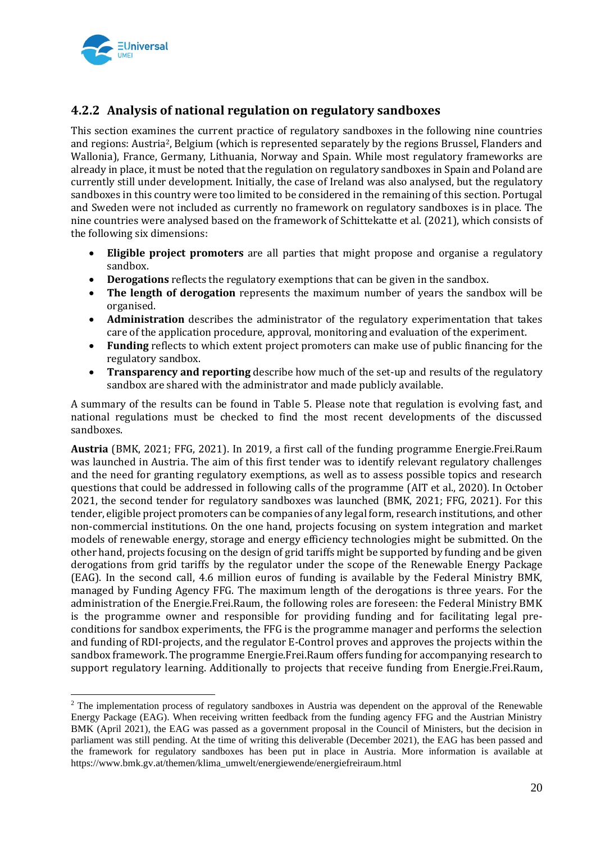

## **4.2.2 Analysis of national regulation on regulatory sandboxes**

This section examines the current practice of regulatory sandboxes in the following nine countries and regions: Austria2, Belgium (which is represented separately by the regions Brussel, Flanders and Wallonia), France, Germany, Lithuania, Norway and Spain. While most regulatory frameworks are already in place, it must be noted that the regulation on regulatory sandboxes in Spain and Poland are currently still under development. Initially, the case of Ireland was also analysed, but the regulatory sandboxes in this country were too limited to be considered in the remaining of this section. Portugal and Sweden were not included as currently no framework on regulatory sandboxes is in place. The nine countries were analysed based on the framework of Schittekatte et al. (2021), which consists of the following six dimensions:

- **Eligible project promoters** are all parties that might propose and organise a regulatory sandbox.
- **Derogations** reflects the regulatory exemptions that can be given in the sandbox.
- **The length of derogation** represents the maximum number of years the sandbox will be organised.
- **Administration** describes the administrator of the regulatory experimentation that takes care of the application procedure, approval, monitoring and evaluation of the experiment.
- **Funding** reflects to which extent project promoters can make use of public financing for the regulatory sandbox.
- **Transparency and reporting** describe how much of the set-up and results of the regulatory sandbox are shared with the administrator and made publicly available.

A summary of the results can be found in Table 5. Please note that regulation is evolving fast, and national regulations must be checked to find the most recent developments of the discussed sandboxes.

**Austria** (BMK, 2021; FFG, 2021). In 2019, a first call of the funding programme Energie.Frei.Raum was launched in Austria. The aim of this first tender was to identify relevant regulatory challenges and the need for granting regulatory exemptions, as well as to assess possible topics and research questions that could be addressed in following calls of the programme (AIT et al., 2020). In October 2021, the second tender for regulatory sandboxes was launched (BMK, 2021; FFG, 2021). For this tender, eligible project promoters can be companies of any legal form, research institutions, and other non-commercial institutions. On the one hand, projects focusing on system integration and market models of renewable energy, storage and energy efficiency technologies might be submitted. On the other hand, projects focusing on the design of grid tariffs might be supported by funding and be given derogations from grid tariffs by the regulator under the scope of the Renewable Energy Package (EAG). In the second call, 4.6 million euros of funding is available by the Federal Ministry BMK, managed by Funding Agency FFG. The maximum length of the derogations is three years. For the administration of the Energie.Frei.Raum, the following roles are foreseen: the Federal Ministry BMK is the programme owner and responsible for providing funding and for facilitating legal preconditions for sandbox experiments, the FFG is the programme manager and performs the selection and funding of RDI-projects, and the regulator E-Control proves and approves the projects within the sandbox framework. The programme Energie.Frei.Raum offers funding for accompanying research to support regulatory learning. Additionally to projects that receive funding from Energie.Frei.Raum,

<sup>&</sup>lt;sup>2</sup> The implementation process of regulatory sandboxes in Austria was dependent on the approval of the Renewable Energy Package (EAG). When receiving written feedback from the funding agency FFG and the Austrian Ministry BMK (April 2021), the EAG was passed as a government proposal in the Council of Ministers, but the decision in parliament was still pending. At the time of writing this deliverable (December 2021), the EAG has been passed and the framework for regulatory sandboxes has been put in place in Austria. More information is available at https://www.bmk.gv.at/themen/klima\_umwelt/energiewende/energiefreiraum.html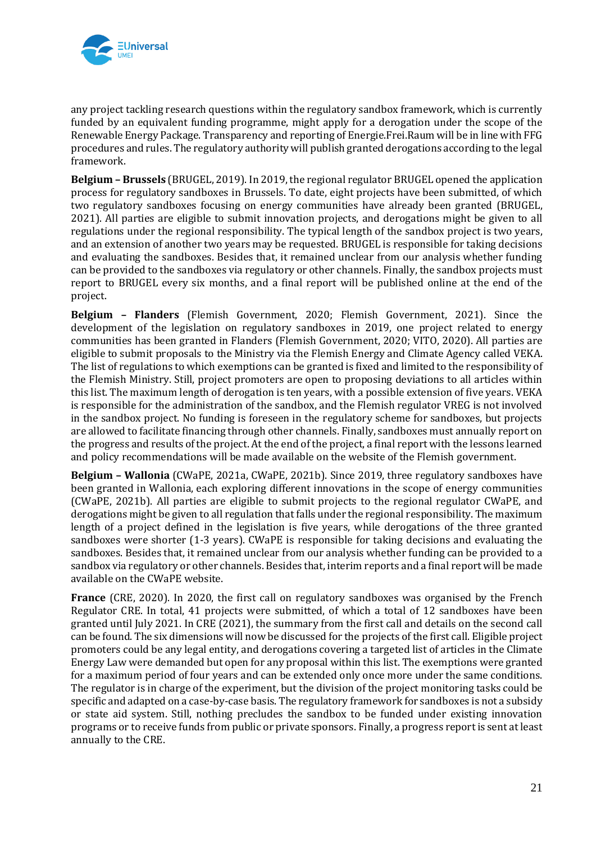

any project tackling research questions within the regulatory sandbox framework, which is currently funded by an equivalent funding programme, might apply for a derogation under the scope of the Renewable Energy Package. Transparency and reporting of Energie.Frei.Raum will be in line with FFG procedures and rules. The regulatory authority will publish granted derogations according to the legal framework.

**Belgium – Brussels** (BRUGEL, 2019). In 2019, the regional regulator BRUGEL opened the application process for regulatory sandboxes in Brussels. To date, eight projects have been submitted, of which two regulatory sandboxes focusing on energy communities have already been granted (BRUGEL, 2021). All parties are eligible to submit innovation projects, and derogations might be given to all regulations under the regional responsibility. The typical length of the sandbox project is two years, and an extension of another two years may be requested. BRUGEL is responsible for taking decisions and evaluating the sandboxes. Besides that, it remained unclear from our analysis whether funding can be provided to the sandboxes via regulatory or other channels. Finally, the sandbox projects must report to BRUGEL every six months, and a final report will be published online at the end of the project.

**Belgium – Flanders** (Flemish Government, 2020; Flemish Government, 2021). Since the development of the legislation on regulatory sandboxes in 2019, one project related to energy communities has been granted in Flanders (Flemish Government, 2020; VITO, 2020). All parties are eligible to submit proposals to the Ministry via the Flemish Energy and Climate Agency called VEKA. The list of regulations to which exemptions can be granted is fixed and limited to the responsibility of the Flemish Ministry. Still, project promoters are open to proposing deviations to all articles within this list. The maximum length of derogation is ten years, with a possible extension of five years. VEKA is responsible for the administration of the sandbox, and the Flemish regulator VREG is not involved in the sandbox project. No funding is foreseen in the regulatory scheme for sandboxes, but projects are allowed to facilitate financing through other channels. Finally, sandboxes must annually report on the progress and results of the project. At the end of the project, a final report with the lessons learned and policy recommendations will be made available on the website of the Flemish government.

**Belgium – Wallonia** (CWaPE, 2021a, CWaPE, 2021b). Since 2019, three regulatory sandboxes have been granted in Wallonia, each exploring different innovations in the scope of energy communities (CWaPE, 2021b). All parties are eligible to submit projects to the regional regulator CWaPE, and derogations might be given to all regulation that falls under the regional responsibility. The maximum length of a project defined in the legislation is five years, while derogations of the three granted sandboxes were shorter (1-3 years). CWaPE is responsible for taking decisions and evaluating the sandboxes. Besides that, it remained unclear from our analysis whether funding can be provided to a sandbox via regulatory or other channels. Besides that, interim reports and a final report will be made available on the CWaPE website.

**France** (CRE, 2020). In 2020, the first call on regulatory sandboxes was organised by the French Regulator CRE. In total, 41 projects were submitted, of which a total of 12 sandboxes have been granted until July 2021. In CRE (2021), the summary from the first call and details on the second call can be found. The six dimensions will now be discussed for the projects of the first call. Eligible project promoters could be any legal entity, and derogations covering a targeted list of articles in the Climate Energy Law were demanded but open for any proposal within this list. The exemptions were granted for a maximum period of four years and can be extended only once more under the same conditions. The regulator is in charge of the experiment, but the division of the project monitoring tasks could be specific and adapted on a case-by-case basis. The regulatory framework for sandboxes is not a subsidy or state aid system. Still, nothing precludes the sandbox to be funded under existing innovation programs or to receive funds from public or private sponsors. Finally, a progress report is sent at least annually to the CRE.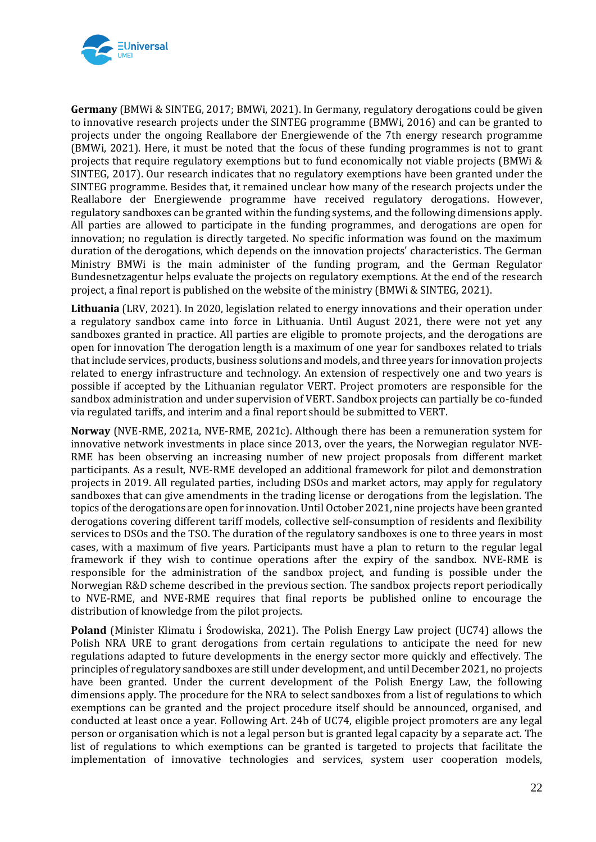

**Germany** (BMWi & SINTEG, 2017; BMWi, 2021). In Germany, regulatory derogations could be given to innovative research projects under the SINTEG programme (BMWi, 2016) and can be granted to projects under the ongoing Reallabore der Energiewende of the 7th energy research programme (BMWi, 2021). Here, it must be noted that the focus of these funding programmes is not to grant projects that require regulatory exemptions but to fund economically not viable projects (BMWi & SINTEG, 2017). Our research indicates that no regulatory exemptions have been granted under the SINTEG programme. Besides that, it remained unclear how many of the research projects under the Reallabore der Energiewende programme have received regulatory derogations. However, regulatory sandboxes can be granted within the funding systems, and the following dimensions apply. All parties are allowed to participate in the funding programmes, and derogations are open for innovation; no regulation is directly targeted. No specific information was found on the maximum duration of the derogations, which depends on the innovation projects' characteristics. The German Ministry BMWi is the main administer of the funding program, and the German Regulator Bundesnetzagentur helps evaluate the projects on regulatory exemptions. At the end of the research project, a final report is published on the website of the ministry (BMWi & SINTEG, 2021).

**Lithuania** (LRV, 2021). In 2020, legislation related to energy innovations and their operation under a regulatory sandbox came into force in Lithuania. Until August 2021, there were not yet any sandboxes granted in practice. All parties are eligible to promote projects, and the derogations are open for innovation The derogation length is a maximum of one year for sandboxes related to trials that include services, products, business solutions and models, and three years for innovation projects related to energy infrastructure and technology. An extension of respectively one and two years is possible if accepted by the Lithuanian regulator VERT. Project promoters are responsible for the sandbox administration and under supervision of VERT. Sandbox projects can partially be co-funded via regulated tariffs, and interim and a final report should be submitted to VERT.

**Norway** (NVE-RME, 2021a, NVE-RME, 2021c). Although there has been a remuneration system for innovative network investments in place since 2013, over the years, the Norwegian regulator NVE-RME has been observing an increasing number of new project proposals from different market participants. As a result, NVE-RME developed an additional framework for pilot and demonstration projects in 2019. All regulated parties, including DSOs and market actors, may apply for regulatory sandboxes that can give amendments in the trading license or derogations from the legislation. The topics of the derogations are open for innovation. Until October 2021, nine projects have been granted derogations covering different tariff models, collective self-consumption of residents and flexibility services to DSOs and the TSO. The duration of the regulatory sandboxes is one to three years in most cases, with a maximum of five years. Participants must have a plan to return to the regular legal framework if they wish to continue operations after the expiry of the sandbox. NVE-RME is responsible for the administration of the sandbox project, and funding is possible under the Norwegian R&D scheme described in the previous section. The sandbox projects report periodically to NVE-RME, and NVE-RME requires that final reports be published online to encourage the distribution of knowledge from the pilot projects.

**Poland** (Minister Klimatu i Środowiska, 2021). The Polish Energy Law project (UC74) allows the Polish NRA URE to grant derogations from certain regulations to anticipate the need for new regulations adapted to future developments in the energy sector more quickly and effectively. The principles of regulatory sandboxes are still under development, and until December 2021, no projects have been granted. Under the current development of the Polish Energy Law, the following dimensions apply. The procedure for the NRA to select sandboxes from a list of regulations to which exemptions can be granted and the project procedure itself should be announced, organised, and conducted at least once a year. Following Art. 24b of UC74, eligible project promoters are any legal person or organisation which is not a legal person but is granted legal capacity by a separate act. The list of regulations to which exemptions can be granted is targeted to projects that facilitate the implementation of innovative technologies and services, system user cooperation models,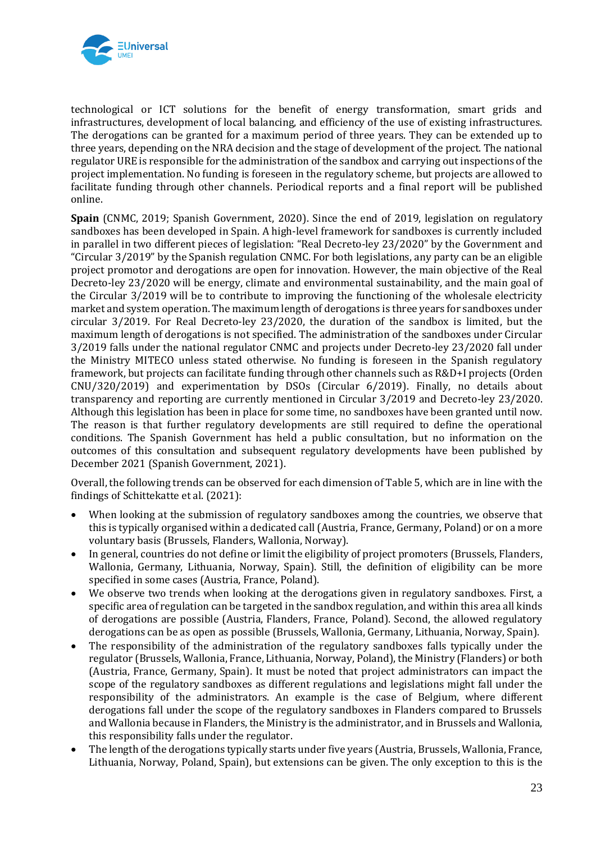

technological or ICT solutions for the benefit of energy transformation, smart grids and infrastructures, development of local balancing, and efficiency of the use of existing infrastructures. The derogations can be granted for a maximum period of three years. They can be extended up to three years, depending on the NRA decision and the stage of development of the project. The national regulator URE is responsible for the administration of the sandbox and carrying out inspections of the project implementation. No funding is foreseen in the regulatory scheme, but projects are allowed to facilitate funding through other channels. Periodical reports and a final report will be published online.

**Spain** (CNMC, 2019; Spanish Government, 2020). Since the end of 2019, legislation on regulatory sandboxes has been developed in Spain. A high-level framework for sandboxes is currently included in parallel in two different pieces of legislation: "Real Decreto-ley 23/2020" by the Government and "Circular 3/2019" by the Spanish regulation CNMC. For both legislations, any party can be an eligible project promotor and derogations are open for innovation. However, the main objective of the Real Decreto-ley 23/2020 will be energy, climate and environmental sustainability, and the main goal of the Circular 3/2019 will be to contribute to improving the functioning of the wholesale electricity market and system operation. The maximum length of derogations is three years for sandboxes under circular 3/2019. For Real Decreto-ley 23/2020, the duration of the sandbox is limited, but the maximum length of derogations is not specified. The administration of the sandboxes under Circular 3/2019 falls under the national regulator CNMC and projects under Decreto-ley 23/2020 fall under the Ministry MITECO unless stated otherwise. No funding is foreseen in the Spanish regulatory framework, but projects can facilitate funding through other channels such as R&D+I projects (Orden CNU/320/2019) and experimentation by DSOs (Circular 6/2019). Finally, no details about transparency and reporting are currently mentioned in Circular 3/2019 and Decreto-ley 23/2020. Although this legislation has been in place for some time, no sandboxes have been granted until now. The reason is that further regulatory developments are still required to define the operational conditions. The Spanish Government has held a public consultation, but no information on the outcomes of this consultation and subsequent regulatory developments have been published by December 2021 (Spanish Government, 2021).

Overall, the following trends can be observed for each dimension of Table 5, which are in line with the findings of Schittekatte et al. (2021):

- When looking at the submission of regulatory sandboxes among the countries, we observe that this is typically organised within a dedicated call (Austria, France, Germany, Poland) or on a more voluntary basis (Brussels, Flanders, Wallonia, Norway).
- In general, countries do not define or limit the eligibility of project promoters (Brussels, Flanders, Wallonia, Germany, Lithuania, Norway, Spain). Still, the definition of eligibility can be more specified in some cases (Austria, France, Poland).
- We observe two trends when looking at the derogations given in regulatory sandboxes. First, a specific area of regulation can be targeted in the sandbox regulation, and within this area all kinds of derogations are possible (Austria, Flanders, France, Poland). Second, the allowed regulatory derogations can be as open as possible (Brussels, Wallonia, Germany, Lithuania, Norway, Spain).
- The responsibility of the administration of the regulatory sandboxes falls typically under the regulator (Brussels, Wallonia, France, Lithuania, Norway, Poland), the Ministry (Flanders) or both (Austria, France, Germany, Spain). It must be noted that project administrators can impact the scope of the regulatory sandboxes as different regulations and legislations might fall under the responsibility of the administrators. An example is the case of Belgium, where different derogations fall under the scope of the regulatory sandboxes in Flanders compared to Brussels and Wallonia because in Flanders, the Ministry is the administrator, and in Brussels and Wallonia, this responsibility falls under the regulator.
- The length of the derogations typically starts under five years (Austria, Brussels, Wallonia, France, Lithuania, Norway, Poland, Spain), but extensions can be given. The only exception to this is the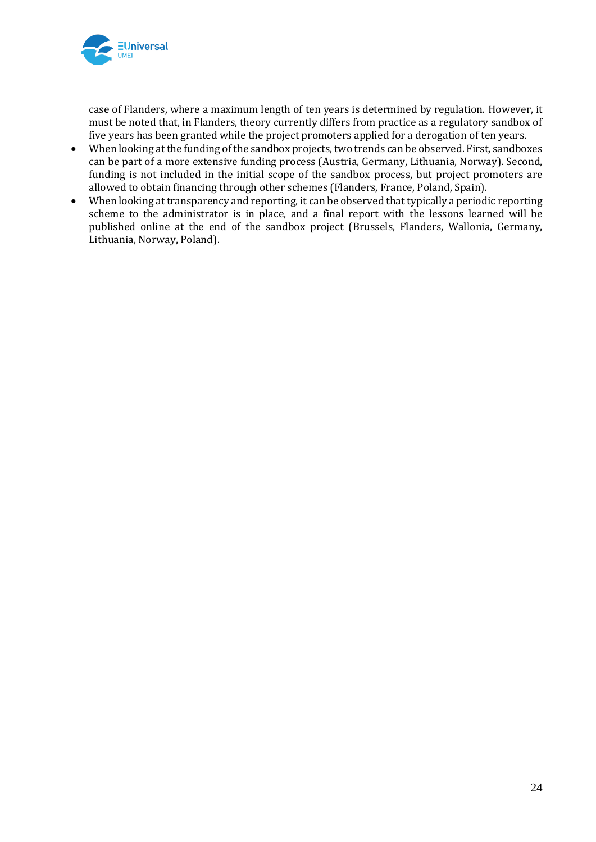

case of Flanders, where a maximum length of ten years is determined by regulation. However, it must be noted that, in Flanders, theory currently differs from practice as a regulatory sandbox of five years has been granted while the project promoters applied for a derogation of ten years.

- When looking at the funding of the sandbox projects, two trends can be observed. First, sandboxes can be part of a more extensive funding process (Austria, Germany, Lithuania, Norway). Second, funding is not included in the initial scope of the sandbox process, but project promoters are allowed to obtain financing through other schemes (Flanders, France, Poland, Spain).
- When looking at transparency and reporting, it can be observed that typically a periodic reporting scheme to the administrator is in place, and a final report with the lessons learned will be published online at the end of the sandbox project (Brussels, Flanders, Wallonia, Germany, Lithuania, Norway, Poland).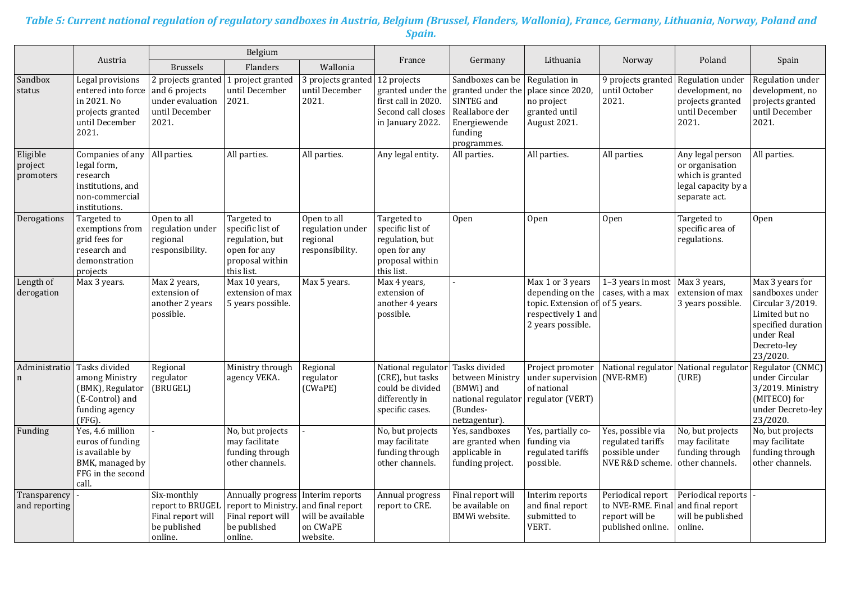#### *Table 5: Current national regulation of regulatory sandboxes in Austria, Belgium (Brussel, Flanders, Wallonia), France, Germany, Lithuania, Norway, Poland and Spain.*

|                                  |                                                                                                          | Belgium                                                                             |                                                                                                     |                                                                                  |                                                                                                     |                                                                                                                 |                                                                                                        |                                                                               |                                                                                                 |                                                                                                                                         |
|----------------------------------|----------------------------------------------------------------------------------------------------------|-------------------------------------------------------------------------------------|-----------------------------------------------------------------------------------------------------|----------------------------------------------------------------------------------|-----------------------------------------------------------------------------------------------------|-----------------------------------------------------------------------------------------------------------------|--------------------------------------------------------------------------------------------------------|-------------------------------------------------------------------------------|-------------------------------------------------------------------------------------------------|-----------------------------------------------------------------------------------------------------------------------------------------|
|                                  | Austria                                                                                                  | <b>Brussels</b>                                                                     | Flanders                                                                                            | Wallonia                                                                         | France                                                                                              | Germany                                                                                                         | Lithuania                                                                                              | Norway                                                                        | Poland                                                                                          | Spain                                                                                                                                   |
| Sandbox<br>status                | Legal provisions<br>entered into force<br>in 2021. No<br>projects granted<br>until December<br>2021.     | 2 projects granted<br>and 6 projects<br>under evaluation<br>until December<br>2021. | 1 project granted<br>until December<br>2021.                                                        | 3 projects granted<br>until December<br>2021.                                    | 12 projects<br>granted under the<br>first call in 2020.<br>Second call closes<br>in January 2022.   | Sandboxes can be<br>granted under the<br>SINTEG and<br>Reallabore der<br>Energiewende<br>funding<br>programmes. | Regulation in<br>place since 2020,<br>no project<br>granted until<br>August 2021.                      | 9 projects granted<br>until October<br>2021.                                  | Regulation under<br>development, no<br>projects granted<br>until December<br>2021.              | Regulation under<br>development, no<br>projects granted<br>until December<br>2021.                                                      |
| Eligible<br>project<br>promoters | Companies of any<br>legal form,<br>research<br>institutions, and<br>non-commercial<br>institutions.      | All parties.                                                                        | All parties.                                                                                        | All parties.                                                                     | Any legal entity.                                                                                   | All parties.                                                                                                    | All parties.                                                                                           | All parties.                                                                  | Any legal person<br>or organisation<br>which is granted<br>legal capacity by a<br>separate act. | All parties.                                                                                                                            |
| Derogations                      | Targeted to<br>exemptions from<br>grid fees for<br>research and<br>demonstration<br>projects             | Open to all<br>regulation under<br>regional<br>responsibility.                      | Targeted to<br>specific list of<br>regulation, but<br>open for any<br>proposal within<br>this list. | Open to all<br>regulation under<br>regional<br>responsibility.                   | Targeted to<br>specific list of<br>regulation, but<br>open for any<br>proposal within<br>this list. | Open                                                                                                            | Open                                                                                                   | 0 <sub>pen</sub>                                                              | Targeted to<br>specific area of<br>regulations.                                                 | Open                                                                                                                                    |
| Length of<br>derogation          | Max 3 years.                                                                                             | Max 2 years,<br>extension of<br>another 2 years<br>possible.                        | Max 10 years,<br>extension of max<br>5 years possible.                                              | Max 5 years.                                                                     | Max 4 years,<br>extension of<br>another 4 years<br>possible.                                        |                                                                                                                 | Max 1 or 3 years<br>depending on the<br>topic. Extension of<br>respectively 1 and<br>2 years possible. | 1-3 years in most<br>cases, with a max<br>of 5 years.                         | Max 3 years,<br>extension of max<br>3 years possible.                                           | Max 3 years for<br>sandboxes under<br>Circular 3/2019.<br>Limited but no<br>specified duration<br>under Real<br>Decreto-ley<br>23/2020. |
| Administratio<br>$\mathbf n$     | Tasks divided<br>among Ministry<br>(BMK), Regulator<br>(E-Control) and<br>funding agency<br>(FFG).       | Regional<br>regulator<br>(BRUGEL)                                                   | Ministry through<br>agency VEKA.                                                                    | Regional<br>regulator<br>(CWaPE)                                                 | National regulator<br>(CRE), but tasks<br>could be divided<br>differently in<br>specific cases.     | Tasks divided<br>between Ministry<br>(BMWi) and<br>national regulator<br>(Bundes-<br>netzagentur).              | Project promoter<br>under supervision<br>of national<br>regulator (VERT)                               | National regulator<br>(NVE-RME)                                               | National regulato<br>(URE)                                                                      | Regulator (CNMC)<br>under Circular<br>3/2019. Ministry<br>(MITECO) for<br>under Decreto-ley<br>23/2020.                                 |
| Funding                          | Yes, 4.6 million<br>euros of funding<br>is available by<br>BMK, managed by<br>FFG in the second<br>call. |                                                                                     | No, but projects<br>may facilitate<br>funding through<br>other channels.                            |                                                                                  | No, but projects<br>may facilitate<br>funding through<br>other channels.                            | Yes, sandboxes<br>are granted when<br>applicable in<br>funding project.                                         | Yes, partially co-<br>funding via<br>regulated tariffs<br>possible.                                    | Yes, possible via<br>regulated tariffs<br>possible under<br>NVE R&D scheme.   | No, but projects<br>may facilitate<br>funding through<br>other channels.                        | No, but projects<br>may facilitate<br>funding through<br>other channels.                                                                |
| Transparency<br>and reporting    |                                                                                                          | Six-monthly<br>report to BRUGEL<br>Final report will<br>be published<br>online.     | Annually progress<br>report to Ministry.<br>Final report will<br>be published<br>online.            | Interim reports<br>and final report<br>will be available<br>on CWaPE<br>website. | Annual progress<br>report to CRE.                                                                   | Final report will<br>be available on<br>BMWi website.                                                           | Interim reports<br>and final report<br>submitted to<br>VERT.                                           | Periodical report<br>to NVE-RME. Final<br>report will be<br>published online. | Periodical reports<br>and final report<br>will be published<br>online.                          |                                                                                                                                         |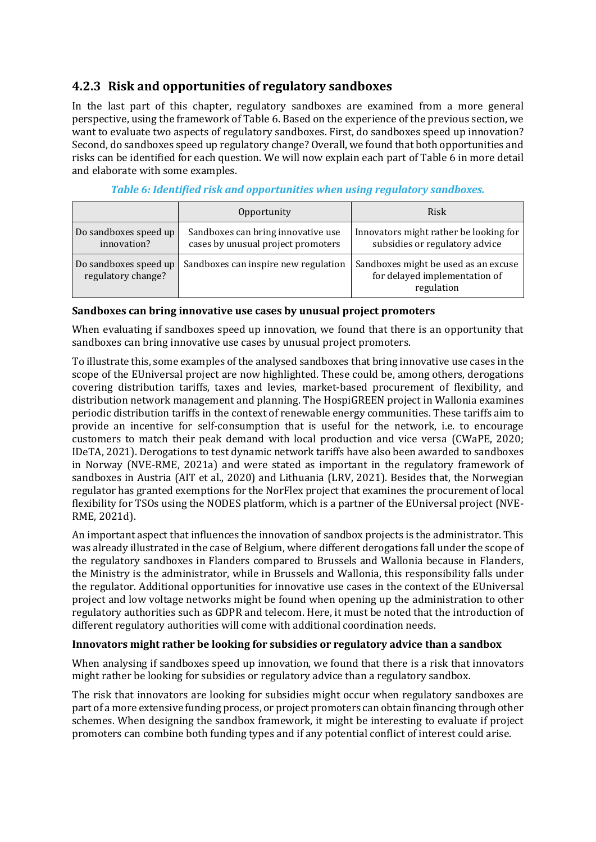### **4.2.3 Risk and opportunities of regulatory sandboxes**

In the last part of this chapter, regulatory sandboxes are examined from a more general perspective, using the framework of Table 6. Based on the experience of the previous section, we want to evaluate two aspects of regulatory sandboxes. First, do sandboxes speed up innovation? Second, do sandboxes speed up regulatory change? Overall, we found that both opportunities and risks can be identified for each question. We will now explain each part of Table 6 in more detail and elaborate with some examples.

|                                             | Opportunity                                                              | Risk                                                                                |
|---------------------------------------------|--------------------------------------------------------------------------|-------------------------------------------------------------------------------------|
| Do sandboxes speed up<br>innovation?        | Sandboxes can bring innovative use<br>cases by unusual project promoters | Innovators might rather be looking for<br>subsidies or regulatory advice            |
| Do sandboxes speed up<br>regulatory change? | Sandboxes can inspire new regulation                                     | Sandboxes might be used as an excuse<br>for delayed implementation of<br>regulation |

#### *Table 6: Identified risk and opportunities when using regulatory sandboxes.*

#### **Sandboxes can bring innovative use cases by unusual project promoters**

When evaluating if sandboxes speed up innovation, we found that there is an opportunity that sandboxes can bring innovative use cases by unusual project promoters.

To illustrate this, some examples of the analysed sandboxes that bring innovative use cases in the scope of the EUniversal project are now highlighted. These could be, among others, derogations covering distribution tariffs, taxes and levies, market-based procurement of flexibility, and distribution network management and planning. The HospiGREEN project in Wallonia examines periodic distribution tariffs in the context of renewable energy communities. These tariffs aim to provide an incentive for self-consumption that is useful for the network, i.e. to encourage customers to match their peak demand with local production and vice versa (CWaPE, 2020; IDeTA, 2021). Derogations to test dynamic network tariffs have also been awarded to sandboxes in Norway (NVE-RME, 2021a) and were stated as important in the regulatory framework of sandboxes in Austria (AIT et al., 2020) and Lithuania (LRV, 2021). Besides that, the Norwegian regulator has granted exemptions for the NorFlex project that examines the procurement of local flexibility for TSOs using the NODES platform, which is a partner of the EUniversal project (NVE-RME, 2021d).

An important aspect that influences the innovation of sandbox projects is the administrator. This was already illustrated in the case of Belgium, where different derogations fall under the scope of the regulatory sandboxes in Flanders compared to Brussels and Wallonia because in Flanders, the Ministry is the administrator, while in Brussels and Wallonia, this responsibility falls under the regulator. Additional opportunities for innovative use cases in the context of the EUniversal project and low voltage networks might be found when opening up the administration to other regulatory authorities such as GDPR and telecom. Here, it must be noted that the introduction of different regulatory authorities will come with additional coordination needs.

#### **Innovators might rather be looking for subsidies or regulatory advice than a sandbox**

When analysing if sandboxes speed up innovation, we found that there is a risk that innovators might rather be looking for subsidies or regulatory advice than a regulatory sandbox.

The risk that innovators are looking for subsidies might occur when regulatory sandboxes are part of a more extensive funding process, or project promoters can obtain financing through other schemes. When designing the sandbox framework, it might be interesting to evaluate if project promoters can combine both funding types and if any potential conflict of interest could arise.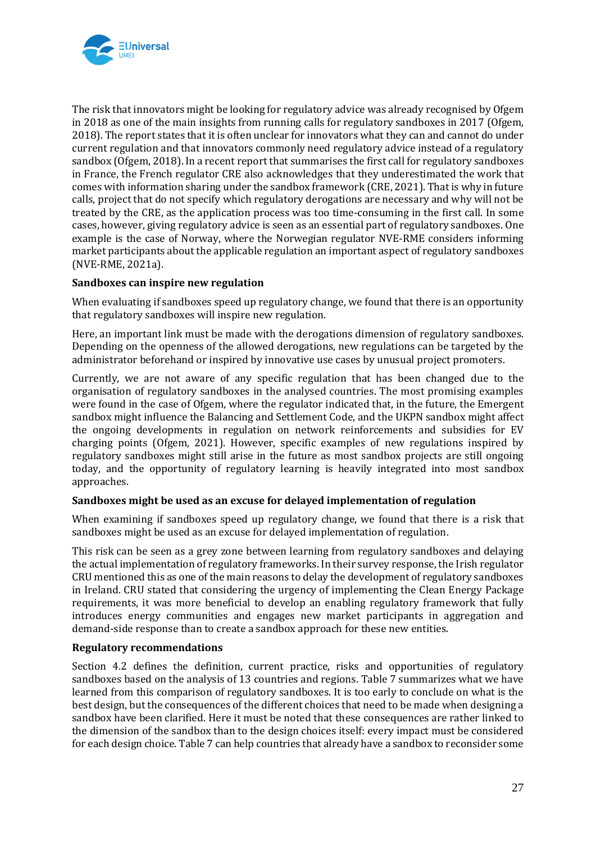

The risk that innovators might be looking for regulatory advice was already recognised by Ofgem in 2018 as one of the main insights from running calls for regulatory sandboxes in 2017 (Ofgem, 2018). The report states that it is often unclear for innovators what they can and cannot do under current regulation and that innovators commonly need regulatory advice instead of a regulatory sandbox (Ofgem, 2018). In a recent report that summarises the first call for regulatory sandboxes in France, the French regulator CRE also acknowledges that they underestimated the work that comes with information sharing under the sandbox framework (CRE, 2021). That is why in future calls, project that do not specify which regulatory derogations are necessary and why will not be treated by the CRE, as the application process was too time-consuming in the first call. In some cases, however, giving regulatory advice is seen as an essential part of regulatory sandboxes. One example is the case of Norway, where the Norwegian regulator NVE-RME considers informing market participants about the applicable regulation an important aspect of regulatory sandboxes (NVE-RME, 2021a).

#### **Sandboxes can inspire new regulation**

When evaluating if sandboxes speed up regulatory change, we found that there is an opportunity that regulatory sandboxes will inspire new regulation.

Here, an important link must be made with the derogations dimension of regulatory sandboxes. Depending on the openness of the allowed derogations, new regulations can be targeted by the administrator beforehand or inspired by innovative use cases by unusual project promoters.

Currently, we are not aware of any specific regulation that has been changed due to the organisation of regulatory sandboxes in the analysed countries. The most promising examples were found in the case of Ofgem, where the regulator indicated that, in the future, the Emergent sandbox might influence the Balancing and Settlement Code, and the UKPN sandbox might affect the ongoing developments in regulation on network reinforcements and subsidies for EV charging points (Ofgem, 2021). However, specific examples of new regulations inspired by regulatory sandboxes might still arise in the future as most sandbox projects are still ongoing today, and the opportunity of regulatory learning is heavily integrated into most sandbox approaches.

#### **Sandboxes might be used as an excuse for delayed implementation of regulation**

When examining if sandboxes speed up regulatory change, we found that there is a risk that sandboxes might be used as an excuse for delayed implementation of regulation.

This risk can be seen as a grey zone between learning from regulatory sandboxes and delaying the actual implementation of regulatory frameworks. In their survey response, the Irish regulator CRU mentioned this as one of the main reasons to delay the development of regulatory sandboxes in Ireland. CRU stated that considering the urgency of implementing the Clean Energy Package requirements, it was more beneficial to develop an enabling regulatory framework that fully introduces energy communities and engages new market participants in aggregation and demand-side response than to create a sandbox approach for these new entities.

#### **Regulatory recommendations**

Section 4.2 defines the definition, current practice, risks and opportunities of regulatory sandboxes based on the analysis of 13 countries and regions. Table 7 summarizes what we have learned from this comparison of regulatory sandboxes. It is too early to conclude on what is the best design, but the consequences of the different choices that need to be made when designing a sandbox have been clarified. Here it must be noted that these consequences are rather linked to the dimension of the sandbox than to the design choices itself: every impact must be considered for each design choice. Table 7 can help countries that already have a sandbox to reconsider some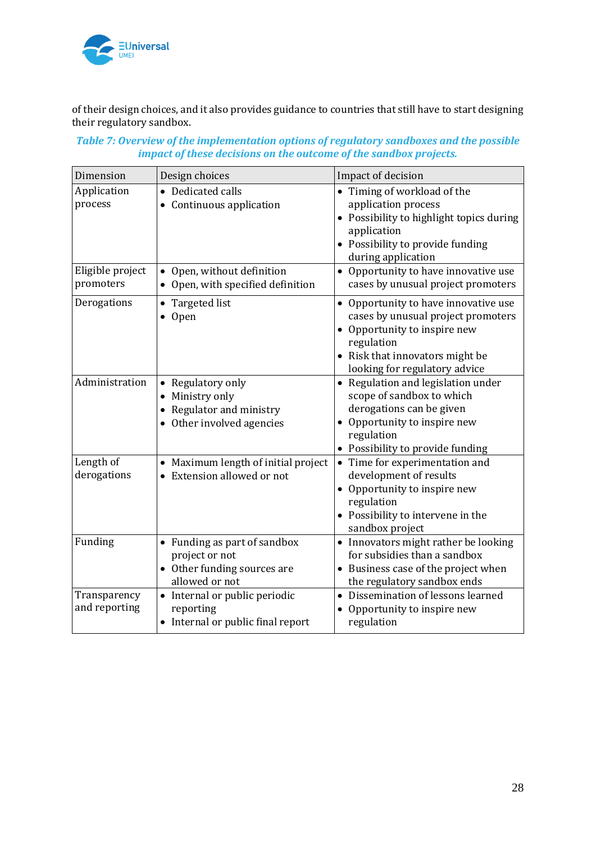

of their design choices, and it also provides guidance to countries that still have to start designing their regulatory sandbox.

| Table 7: Overview of the implementation options of regulatory sandboxes and the possible |
|------------------------------------------------------------------------------------------|
| impact of these decisions on the outcome of the sandbox projects.                        |

| Dimension                     | Design choices                                                                                  | Impact of decision                                                                                                                                                                           |
|-------------------------------|-------------------------------------------------------------------------------------------------|----------------------------------------------------------------------------------------------------------------------------------------------------------------------------------------------|
| Application<br>process        | Dedicated calls<br>• Continuous application                                                     | • Timing of workload of the<br>application process<br>• Possibility to highlight topics during<br>application<br>• Possibility to provide funding<br>during application                      |
| Eligible project<br>promoters | • Open, without definition<br>Open, with specified definition                                   | • Opportunity to have innovative use<br>cases by unusual project promoters                                                                                                                   |
| Derogations                   | Targeted list<br>Open                                                                           | • Opportunity to have innovative use<br>cases by unusual project promoters<br>• Opportunity to inspire new<br>regulation<br>• Risk that innovators might be<br>looking for regulatory advice |
| Administration                | • Regulatory only<br>Ministry only<br>• Regulator and ministry<br>• Other involved agencies     | • Regulation and legislation under<br>scope of sandbox to which<br>derogations can be given<br>Opportunity to inspire new<br>regulation<br>• Possibility to provide funding                  |
| Length of<br>derogations      | • Maximum length of initial project<br>Extension allowed or not                                 | Time for experimentation and<br>$\bullet$<br>development of results<br>• Opportunity to inspire new<br>regulation<br>• Possibility to intervene in the<br>sandbox project                    |
| Funding                       | • Funding as part of sandbox<br>project or not<br>• Other funding sources are<br>allowed or not | • Innovators might rather be looking<br>for subsidies than a sandbox<br>• Business case of the project when<br>the regulatory sandbox ends                                                   |
| Transparency<br>and reporting | • Internal or public periodic<br>reporting<br>• Internal or public final report                 | Dissemination of lessons learned<br>$\bullet$<br>Opportunity to inspire new<br>$\bullet$<br>regulation                                                                                       |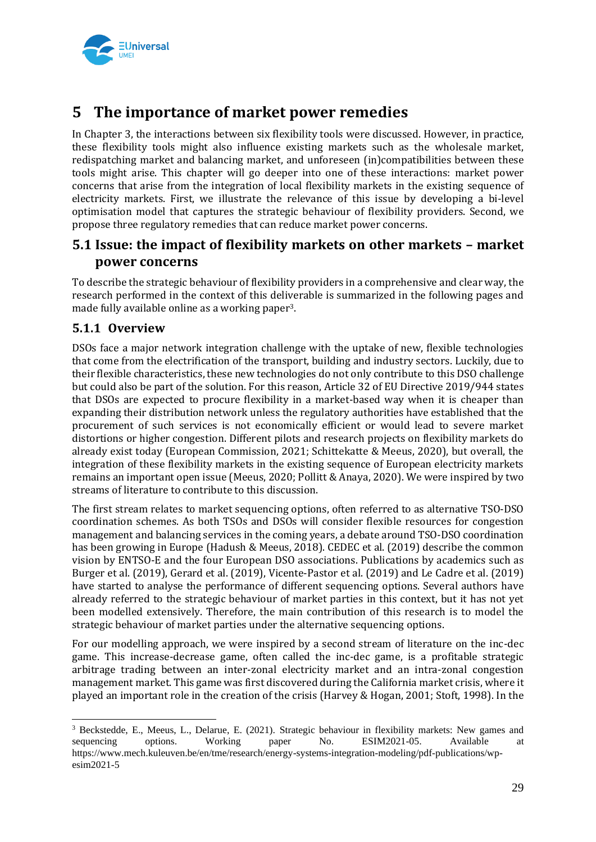

## **5 The importance of market power remedies**

In Chapter 3, the interactions between six flexibility tools were discussed. However, in practice, these flexibility tools might also influence existing markets such as the wholesale market, redispatching market and balancing market, and unforeseen (in)compatibilities between these tools might arise. This chapter will go deeper into one of these interactions: market power concerns that arise from the integration of local flexibility markets in the existing sequence of electricity markets. First, we illustrate the relevance of this issue by developing a bi-level optimisation model that captures the strategic behaviour of flexibility providers. Second, we propose three regulatory remedies that can reduce market power concerns.

## **5.1 Issue: the impact of flexibility markets on other markets – market power concerns**

To describe the strategic behaviour of flexibility providers in a comprehensive and clear way, the research performed in the context of this deliverable is summarized in the following pages and made fully available online as a working paper3.

### **5.1.1 Overview**

DSOs face a major network integration challenge with the uptake of new, flexible technologies that come from the electrification of the transport, building and industry sectors. Luckily, due to their flexible characteristics, these new technologies do not only contribute to this DSO challenge but could also be part of the solution. For this reason, Article 32 of EU Directive 2019/944 states that DSOs are expected to procure flexibility in a market-based way when it is cheaper than expanding their distribution network unless the regulatory authorities have established that the procurement of such services is not economically efficient or would lead to severe market distortions or higher congestion. Different pilots and research projects on flexibility markets do already exist today (European Commission, 2021; Schittekatte & Meeus, 2020), but overall, the integration of these flexibility markets in the existing sequence of European electricity markets remains an important open issue (Meeus, 2020; Pollitt & Anaya, 2020). We were inspired by two streams of literature to contribute to this discussion.

The first stream relates to market sequencing options, often referred to as alternative TSO-DSO coordination schemes. As both TSOs and DSOs will consider flexible resources for congestion management and balancing services in the coming years, a debate around TSO-DSO coordination has been growing in Europe (Hadush & Meeus, 2018). CEDEC et al. (2019) describe the common vision by ENTSO-E and the four European DSO associations. Publications by academics such as Burger et al. (2019), Gerard et al. (2019), Vicente-Pastor et al. (2019) and Le Cadre et al. (2019) have started to analyse the performance of different sequencing options. Several authors have already referred to the strategic behaviour of market parties in this context, but it has not yet been modelled extensively. Therefore, the main contribution of this research is to model the strategic behaviour of market parties under the alternative sequencing options.

For our modelling approach, we were inspired by a second stream of literature on the inc-dec game. This increase-decrease game, often called the inc-dec game, is a profitable strategic arbitrage trading between an inter-zonal electricity market and an intra-zonal congestion management market. This game was first discovered during the California market crisis, where it played an important role in the creation of the crisis (Harvey & Hogan, 2001; Stoft, 1998). In the

<sup>&</sup>lt;sup>3</sup> Beckstedde, E., Meeus, L., Delarue, E. (2021). Strategic behaviour in flexibility markets: New games and sequencing options. Working paper No. ESIM2021-05. Available at https://www.mech.kuleuven.be/en/tme/research/energy-systems-integration-modeling/pdf-publications/wpesim2021-5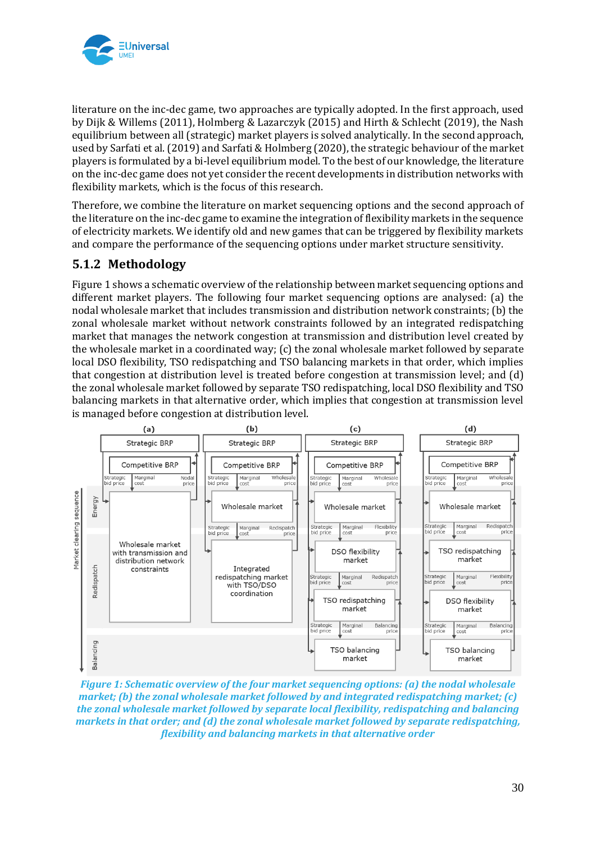

literature on the inc-dec game, two approaches are typically adopted. In the first approach, used by Dijk & Willems (2011), Holmberg & Lazarczyk (2015) and Hirth & Schlecht (2019), the Nash equilibrium between all (strategic) market players is solved analytically. In the second approach, used by Sarfati et al. (2019) and Sarfati & Holmberg (2020), the strategic behaviour of the market players is formulated by a bi-level equilibrium model. To the best of our knowledge, the literature on the inc-dec game does not yet consider the recent developments in distribution networks with flexibility markets, which is the focus of this research.

Therefore, we combine the literature on market sequencing options and the second approach of the literature on the inc-dec game to examine the integration of flexibility markets in the sequence of electricity markets. We identify old and new games that can be triggered by flexibility markets and compare the performance of the sequencing options under market structure sensitivity.

### **5.1.2 Methodology**

Figure 1 shows a schematic overview of the relationship between market sequencing options and different market players. The following four market sequencing options are analysed: (a) the nodal wholesale market that includes transmission and distribution network constraints; (b) the zonal wholesale market without network constraints followed by an integrated redispatching market that manages the network congestion at transmission and distribution level created by the wholesale market in a coordinated way; (c) the zonal wholesale market followed by separate local DSO flexibility, TSO redispatching and TSO balancing markets in that order, which implies that congestion at distribution level is treated before congestion at transmission level; and (d) the zonal wholesale market followed by separate TSO redispatching, local DSO flexibility and TSO balancing markets in that alternative order, which implies that congestion at transmission level is managed before congestion at distribution level.



*Figure 1: Schematic overview of the four market sequencing options: (a) the nodal wholesale market; (b) the zonal wholesale market followed by and integrated redispatching market; (c) the zonal wholesale market followed by separate local flexibility, redispatching and balancing markets in that order; and (d) the zonal wholesale market followed by separate redispatching, flexibility and balancing markets in that alternative order*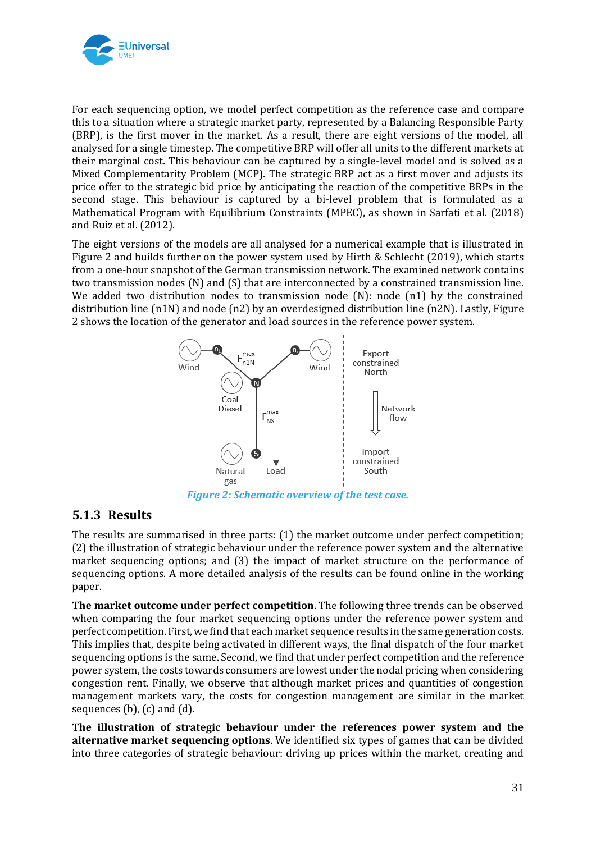

For each sequencing option, we model perfect competition as the reference case and compare this to a situation where a strategic market party, represented by a Balancing Responsible Party (BRP), is the first mover in the market. As a result, there are eight versions of the model, all analysed for a single timestep. The competitive BRP will offer all units to the different markets at their marginal cost. This behaviour can be captured by a single-level model and is solved as a Mixed Complementarity Problem (MCP). The strategic BRP act as a first mover and adjusts its price offer to the strategic bid price by anticipating the reaction of the competitive BRPs in the second stage. This behaviour is captured by a bi-level problem that is formulated as a Mathematical Program with Equilibrium Constraints (MPEC), as shown in Sarfati et al. (2018) and Ruiz et al. (2012).

The eight versions of the models are all analysed for a numerical example that is illustrated in Figure 2 and builds further on the power system used by Hirth & Schlecht (2019), which starts from a one-hour snapshot of the German transmission network. The examined network contains two transmission nodes (N) and (S) that are interconnected by a constrained transmission line. We added two distribution nodes to transmission node  $(N)$ : node  $(n1)$  by the constrained distribution line (n1N) and node (n2) by an overdesigned distribution line (n2N). Lastly, Figure 2 shows the location of the generator and load sources in the reference power system.



*Figure 2: Schematic overview of the test case.*

## **5.1.3 Results**

The results are summarised in three parts: (1) the market outcome under perfect competition; (2) the illustration of strategic behaviour under the reference power system and the alternative market sequencing options; and (3) the impact of market structure on the performance of sequencing options. A more detailed analysis of the results can be found online in the working paper.

**The market outcome under perfect competition**. The following three trends can be observed when comparing the four market sequencing options under the reference power system and perfect competition. First, we find that each market sequence results in the same generation costs. This implies that, despite being activated in different ways, the final dispatch of the four market sequencing options is the same. Second, we find that under perfect competition and the reference power system, the costs towards consumers are lowest under the nodal pricing when considering congestion rent. Finally, we observe that although market prices and quantities of congestion management markets vary, the costs for congestion management are similar in the market sequences (b), (c) and (d).

**The illustration of strategic behaviour under the references power system and the alternative market sequencing options**. We identified six types of games that can be divided into three categories of strategic behaviour: driving up prices within the market, creating and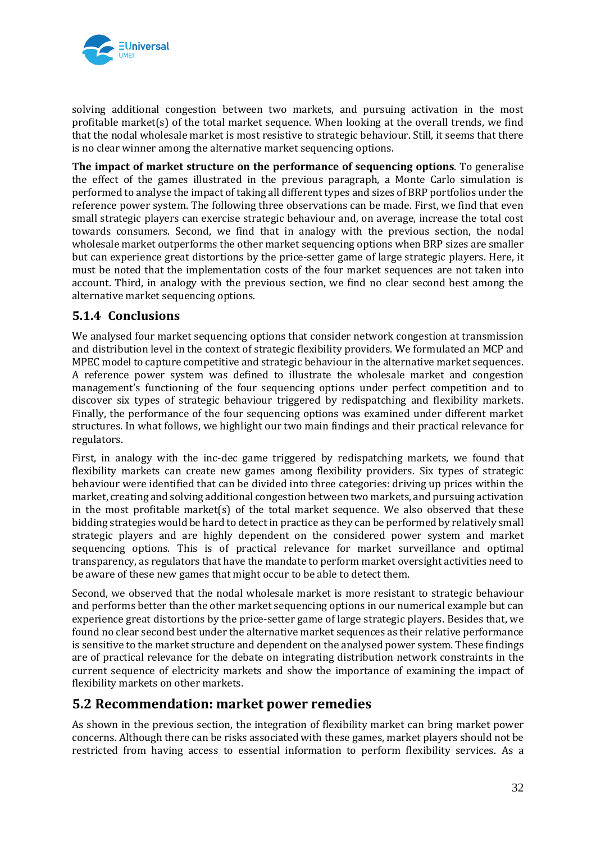

solving additional congestion between two markets, and pursuing activation in the most profitable market(s) of the total market sequence. When looking at the overall trends, we find that the nodal wholesale market is most resistive to strategic behaviour. Still, it seems that there is no clear winner among the alternative market sequencing options.

**The impact of market structure on the performance of sequencing options**. To generalise the effect of the games illustrated in the previous paragraph, a Monte Carlo simulation is performed to analyse the impact of taking all different types and sizes of BRP portfolios under the reference power system. The following three observations can be made. First, we find that even small strategic players can exercise strategic behaviour and, on average, increase the total cost towards consumers. Second, we find that in analogy with the previous section, the nodal wholesale market outperforms the other market sequencing options when BRP sizes are smaller but can experience great distortions by the price-setter game of large strategic players. Here, it must be noted that the implementation costs of the four market sequences are not taken into account. Third, in analogy with the previous section, we find no clear second best among the alternative market sequencing options.

### **5.1.4 Conclusions**

We analysed four market sequencing options that consider network congestion at transmission and distribution level in the context of strategic flexibility providers. We formulated an MCP and MPEC model to capture competitive and strategic behaviour in the alternative market sequences. A reference power system was defined to illustrate the wholesale market and congestion management's functioning of the four sequencing options under perfect competition and to discover six types of strategic behaviour triggered by redispatching and flexibility markets. Finally, the performance of the four sequencing options was examined under different market structures. In what follows, we highlight our two main findings and their practical relevance for regulators.

First, in analogy with the inc-dec game triggered by redispatching markets, we found that flexibility markets can create new games among flexibility providers. Six types of strategic behaviour were identified that can be divided into three categories: driving up prices within the market, creating and solving additional congestion between two markets, and pursuing activation in the most profitable market(s) of the total market sequence. We also observed that these bidding strategies would be hard to detect in practice as they can be performed by relatively small strategic players and are highly dependent on the considered power system and market sequencing options. This is of practical relevance for market surveillance and optimal transparency, as regulators that have the mandate to perform market oversight activities need to be aware of these new games that might occur to be able to detect them.

Second, we observed that the nodal wholesale market is more resistant to strategic behaviour and performs better than the other market sequencing options in our numerical example but can experience great distortions by the price-setter game of large strategic players. Besides that, we found no clear second best under the alternative market sequences as their relative performance is sensitive to the market structure and dependent on the analysed power system. These findings are of practical relevance for the debate on integrating distribution network constraints in the current sequence of electricity markets and show the importance of examining the impact of flexibility markets on other markets.

### **5.2 Recommendation: market power remedies**

As shown in the previous section, the integration of flexibility market can bring market power concerns. Although there can be risks associated with these games, market players should not be restricted from having access to essential information to perform flexibility services. As a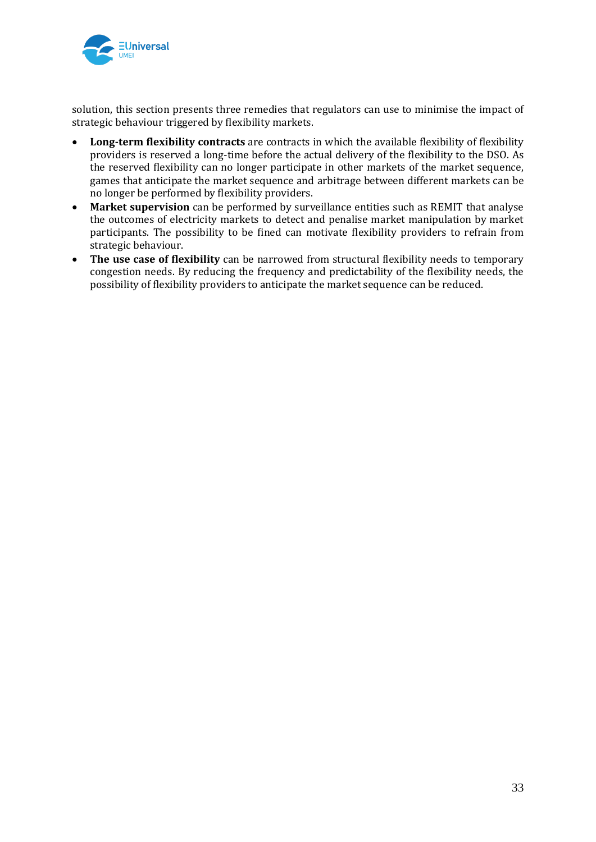

solution, this section presents three remedies that regulators can use to minimise the impact of strategic behaviour triggered by flexibility markets.

- **Long-term flexibility contracts** are contracts in which the available flexibility of flexibility providers is reserved a long-time before the actual delivery of the flexibility to the DSO. As the reserved flexibility can no longer participate in other markets of the market sequence, games that anticipate the market sequence and arbitrage between different markets can be no longer be performed by flexibility providers.
- **Market supervision** can be performed by surveillance entities such as REMIT that analyse the outcomes of electricity markets to detect and penalise market manipulation by market participants. The possibility to be fined can motivate flexibility providers to refrain from strategic behaviour.
- **The use case of flexibility** can be narrowed from structural flexibility needs to temporary congestion needs. By reducing the frequency and predictability of the flexibility needs, the possibility of flexibility providers to anticipate the market sequence can be reduced.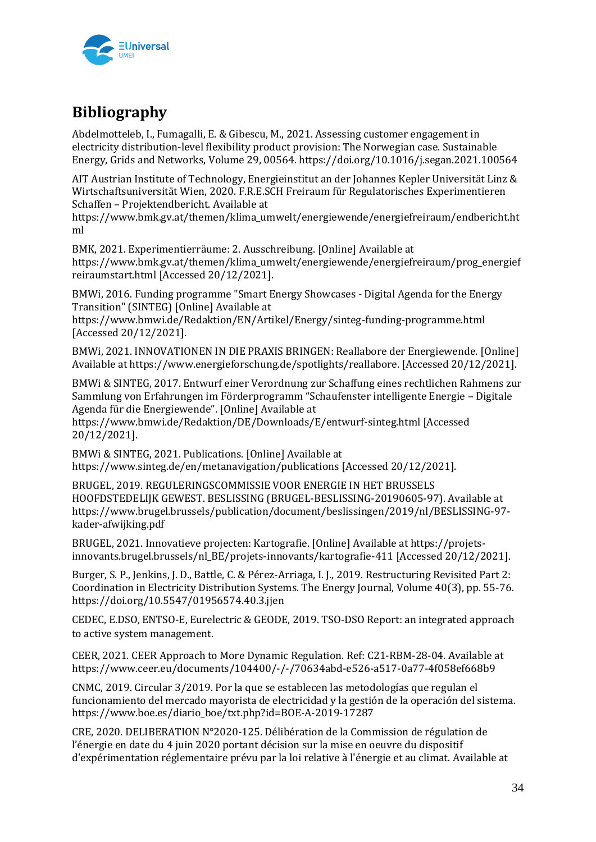

## **Bibliography**

Abdelmotteleb, I., Fumagalli, E. & Gibescu, M., 2021. Assessing customer engagement in electricity distribution-level flexibility product provision: The Norwegian case. Sustainable Energy, Grids and Networks, Volume 29, 00564. https://doi.org/10.1016/j.segan.2021.100564

AIT Austrian Institute of Technology, Energieinstitut an der Johannes Kepler Universität Linz & Wirtschaftsuniversität Wien, 2020. F.R.E.SCH Freiraum für Regulatorisches Experimentieren Schaffen – Projektendbericht. Available at

https://www.bmk.gv.at/themen/klima\_umwelt/energiewende/energiefreiraum/endbericht.ht ml

BMK, 2021. Experimentierräume: 2. Ausschreibung. [Online] Available at https://www.bmk.gv.at/themen/klima\_umwelt/energiewende/energiefreiraum/prog\_energief reiraumstart.html [Accessed 20/12/2021].

BMWi, 2016. Funding programme "Smart Energy Showcases - Digital Agenda for the Energy Transition" (SINTEG) [Online] Available at

https://www.bmwi.de/Redaktion/EN/Artikel/Energy/sinteg-funding-programme.html [Accessed 20/12/2021].

BMWi, 2021. INNOVATIONEN IN DIE PRAXIS BRINGEN: Reallabore der Energiewende. [Online] Available at https://www.energieforschung.de/spotlights/reallabore. [Accessed 20/12/2021].

BMWi & SINTEG, 2017. Entwurf einer Verordnung zur Schaffung eines rechtlichen Rahmens zur Sammlung von Erfahrungen im Förderprogramm "Schaufenster intelligente Energie – Digitale Agenda für die Energiewende". [Online] Available at

https://www.bmwi.de/Redaktion/DE/Downloads/E/entwurf-sinteg.html [Accessed 20/12/2021].

BMWi & SINTEG, 2021. Publications. [Online] Available at https://www.sinteg.de/en/metanavigation/publications [Accessed 20/12/2021].

BRUGEL, 2019. REGULERINGSCOMMISSIE VOOR ENERGIE IN HET BRUSSELS HOOFDSTEDELIJK GEWEST. BESLISSING (BRUGEL-BESLISSING-20190605-97). Available at https://www.brugel.brussels/publication/document/beslissingen/2019/nl/BESLISSING-97 kader-afwijking.pdf

BRUGEL, 2021. Innovatieve projecten: Kartografie. [Online] Available at https://projetsinnovants.brugel.brussels/nl\_BE/projets-innovants/kartografie-411 [Accessed 20/12/2021].

Burger, S. P., Jenkins, J. D., Battle, C. & Pérez-Arriaga, I. J., 2019. Restructuring Revisited Part 2: Coordination in Electricity Distribution Systems. The Energy Journal, Volume 40(3), pp. 55-76. https://doi.org/10.5547/01956574.40.3.jjen

CEDEC, E.DSO, ENTSO-E, Eurelectric & GEODE, 2019. TSO-DSO Report: an integrated approach to active system management.

CEER, 2021. CEER Approach to More Dynamic Regulation. Ref: C21-RBM-28-04. Available at https://www.ceer.eu/documents/104400/-/-/70634abd-e526-a517-0a77-4f058ef668b9

CNMC, 2019. Circular 3/2019. Por la que se establecen las metodologías que regulan el funcionamiento del mercado mayorista de electricidad y la gestión de la operación del sistema. https://www.boe.es/diario\_boe/txt.php?id=BOE-A-2019-17287

CRE, 2020. DELIBERATION N°2020-125. Délibération de la Commission de régulation de l'énergie en date du 4 juin 2020 portant décision sur la mise en oeuvre du dispositif d'expérimentation réglementaire prévu par la loi relative à l'énergie et au climat. Available at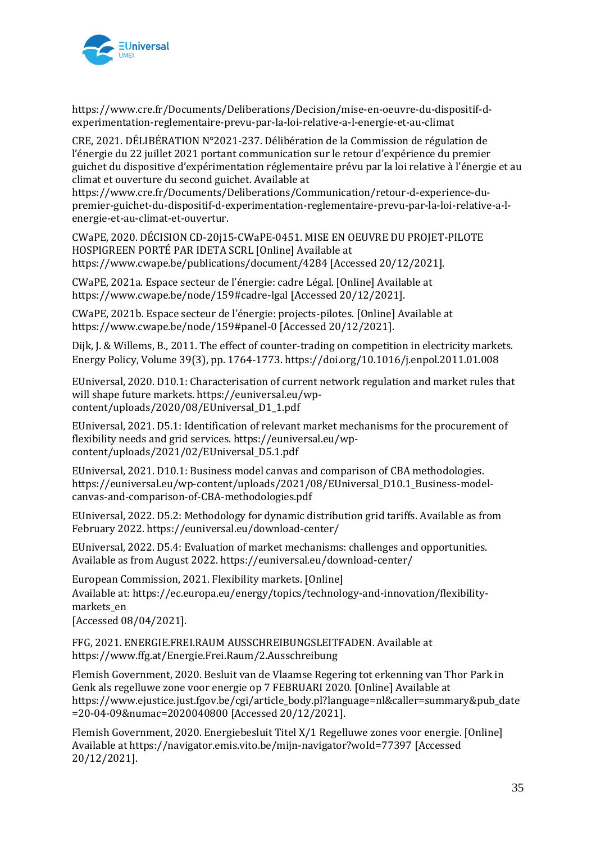

https://www.cre.fr/Documents/Deliberations/Decision/mise-en-oeuvre-du-dispositif-dexperimentation-reglementaire-prevu-par-la-loi-relative-a-l-energie-et-au-climat

CRE, 2021. DÉLIBÉRATION N°2021-237. Délibération de la Commission de régulation de l'énergie du 22 juillet 2021 portant communication sur le retour d'expérience du premier guichet du dispositive d'expérimentation réglementaire prévu par la loi relative à l'énergie et au climat et ouverture du second guichet. Available at

https://www.cre.fr/Documents/Deliberations/Communication/retour-d-experience-dupremier-guichet-du-dispositif-d-experimentation-reglementaire-prevu-par-la-loi-relative-a-lenergie-et-au-climat-et-ouvertur.

CWaPE, 2020. DÉCISION CD-20j15-CWaPE-0451. MISE EN OEUVRE DU PROJET-PILOTE HOSPIGREEN PORTÉ PAR IDETA SCRL [Online] Available at https://www.cwape.be/publications/document/4284 [Accessed 20/12/2021].

CWaPE, 2021a. Espace secteur de l'énergie: cadre Légal. [Online] Available at https://www.cwape.be/node/159#cadre-lgal [Accessed 20/12/2021].

CWaPE, 2021b. Espace secteur de l'énergie: projects-pilotes. [Online] Available at https://www.cwape.be/node/159#panel-0 [Accessed 20/12/2021].

Dijk, J. & Willems, B., 2011. The effect of counter-trading on competition in electricity markets. Energy Policy, Volume 39(3), pp. 1764-1773. https://doi.org/10.1016/j.enpol.2011.01.008

EUniversal, 2020. D10.1: Characterisation of current network regulation and market rules that will shape future markets. https://euniversal.eu/wpcontent/uploads/2020/08/EUniversal\_D1\_1.pdf

EUniversal, 2021. D5.1: Identification of relevant market mechanisms for the procurement of flexibility needs and grid services. https://euniversal.eu/wpcontent/uploads/2021/02/EUniversal\_D5.1.pdf

EUniversal, 2021. D10.1: Business model canvas and comparison of CBA methodologies. https://euniversal.eu/wp-content/uploads/2021/08/EUniversal\_D10.1\_Business-modelcanvas-and-comparison-of-CBA-methodologies.pdf

EUniversal, 2022. D5.2: Methodology for dynamic distribution grid tariffs. Available as from February 2022. https://euniversal.eu/download-center/

EUniversal, 2022. D5.4: Evaluation of market mechanisms: challenges and opportunities. Available as from August 2022. https://euniversal.eu/download-center/

European Commission, 2021. Flexibility markets. [Online] Available at: https://ec.europa.eu/energy/topics/technology-and-innovation/flexibilitymarkets\_en [Accessed 08/04/2021].

FFG, 2021. ENERGIE.FREI.RAUM AUSSCHREIBUNGSLEITFADEN. Available at https://www.ffg.at/Energie.Frei.Raum/2.Ausschreibung

Flemish Government, 2020. Besluit van de Vlaamse Regering tot erkenning van Thor Park in Genk als regelluwe zone voor energie op 7 FEBRUARI 2020. [Online] Available at https://www.ejustice.just.fgov.be/cgi/article\_body.pl?language=nl&caller=summary&pub\_date =20-04-09&numac=2020040800 [Accessed 20/12/2021].

Flemish Government, 2020. Energiebesluit Titel X/1 Regelluwe zones voor energie. [Online] Available at https://navigator.emis.vito.be/mijn-navigator?woId=77397 [Accessed 20/12/2021].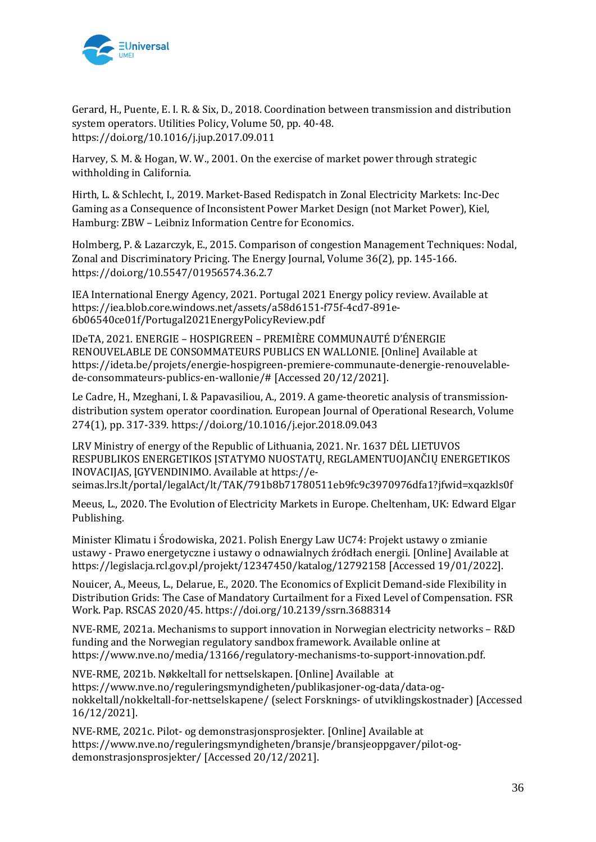

Gerard, H., Puente, E. I. R. & Six, D., 2018. Coordination between transmission and distribution system operators. Utilities Policy, Volume 50, pp. 40-48. https://doi.org/10.1016/j.jup.2017.09.011

Harvey, S. M. & Hogan, W. W., 2001. On the exercise of market power through strategic withholding in California.

Hirth, L. & Schlecht, I., 2019. Market-Based Redispatch in Zonal Electricity Markets: Inc-Dec Gaming as a Consequence of Inconsistent Power Market Design (not Market Power), Kiel, Hamburg: ZBW – Leibniz Information Centre for Economics.

Holmberg, P. & Lazarczyk, E., 2015. Comparison of congestion Management Techniques: Nodal, Zonal and Discriminatory Pricing. The Energy Journal, Volume 36(2), pp. 145-166. https://doi.org/10.5547/01956574.36.2.7

IEA International Energy Agency, 2021. Portugal 2021 Energy policy review. Available at https://iea.blob.core.windows.net/assets/a58d6151-f75f-4cd7-891e-6b06540ce01f/Portugal2021EnergyPolicyReview.pdf

IDeTA, 2021. ENERGIE – HOSPIGREEN – PREMIÈRE COMMUNAUTÉ D'ÉNERGIE RENOUVELABLE DE CONSOMMATEURS PUBLICS EN WALLONIE. [Online] Available at https://ideta.be/projets/energie-hospigreen-premiere-communaute-denergie-renouvelablede-consommateurs-publics-en-wallonie/# [Accessed 20/12/2021].

Le Cadre, H., Mzeghani, I. & Papavasiliou, A., 2019. A game-theoretic analysis of transmissiondistribution system operator coordination. European Journal of Operational Research, Volume 274(1), pp. 317-339. https://doi.org/10.1016/j.ejor.2018.09.043

LRV Ministry of energy of the Republic of Lithuania, 2021. Nr. 1637 DĖL LIETUVOS RESPUBLIKOS ENERGETIKOS ĮSTATYMO NUOSTATŲ, REGLAMENTUOJANČIŲ ENERGETIKOS INOVACIJAS, ĮGYVENDINIMO. Available at https://eseimas.lrs.lt/portal/legalAct/lt/TAK/791b8b71780511eb9fc9c3970976dfa1?jfwid=xqazkls0f

Meeus, L., 2020. The Evolution of Electricity Markets in Europe. Cheltenham, UK: Edward Elgar Publishing.

Minister Klimatu i Środowiska, 2021. Polish Energy Law UC74: Projekt ustawy o zmianie ustawy - Prawo energetyczne i ustawy o odnawialnych źródłach energii. [Online] Available at https://legislacja.rcl.gov.pl/projekt/12347450/katalog/12792158 [Accessed 19/01/2022].

Nouicer, A., Meeus, L., Delarue, E., 2020. The Economics of Explicit Demand-side Flexibility in Distribution Grids: The Case of Mandatory Curtailment for a Fixed Level of Compensation. FSR Work. Pap. RSCAS 2020/45. https://doi.org/10.2139/ssrn.3688314

NVE-RME, 2021a. Mechanisms to support innovation in Norwegian electricity networks – R&D funding and the Norwegian regulatory sandbox framework. Available online at https://www.nve.no/media/13166/regulatory-mechanisms-to-support-innovation.pdf.

NVE-RME, 2021b. Nøkkeltall for nettselskapen. [Online] Available at https://www.nve.no/reguleringsmyndigheten/publikasjoner-og-data/data-ognokkeltall/nokkeltall-for-nettselskapene/ (select Forsknings- of utviklingskostnader) [Accessed 16/12/2021].

NVE-RME, 2021c. Pilot- og demonstrasjonsprosjekter. [Online] Available at https://www.nve.no/reguleringsmyndigheten/bransje/bransjeoppgaver/pilot-ogdemonstrasjonsprosjekter/ [Accessed 20/12/2021].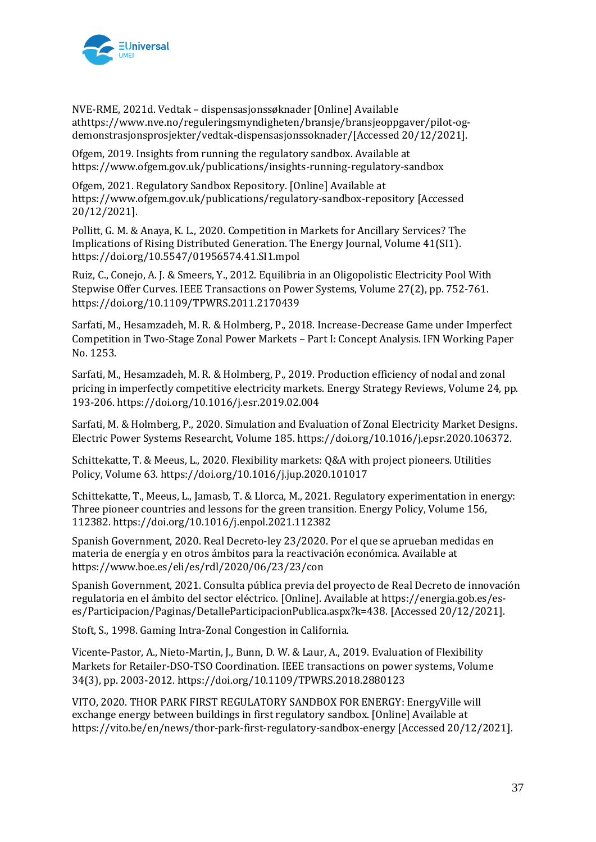

NVE-RME, 2021d. Vedtak – dispensasjonssøknader [Online] Available athttps://www.nve.no/reguleringsmyndigheten/bransje/bransjeoppgaver/pilot-ogdemonstrasjonsprosjekter/vedtak-dispensasjonssoknader/[Accessed 20/12/2021].

Ofgem, 2019. Insights from running the regulatory sandbox. Available at https://www.ofgem.gov.uk/publications/insights-running-regulatory-sandbox

Ofgem, 2021. Regulatory Sandbox Repository. [Online] Available at https://www.ofgem.gov.uk/publications/regulatory-sandbox-repository [Accessed 20/12/2021].

Pollitt, G. M. & Anaya, K. L., 2020. Competition in Markets for Ancillary Services? The Implications of Rising Distributed Generation. The Energy Journal, Volume 41(SI1). https://doi.org/10.5547/01956574.41.SI1.mpol

Ruiz, C., Conejo, A. J. & Smeers, Y., 2012. Equilibria in an Oligopolistic Electricity Pool With Stepwise Offer Curves. IEEE Transactions on Power Systems, Volume 27(2), pp. 752-761. https://doi.org/10.1109/TPWRS.2011.2170439

Sarfati, M., Hesamzadeh, M. R. & Holmberg, P., 2018. Increase-Decrease Game under Imperfect Competition in Two-Stage Zonal Power Markets – Part I: Concept Analysis. IFN Working Paper No. 1253.

Sarfati, M., Hesamzadeh, M. R. & Holmberg, P., 2019. Production efficiency of nodal and zonal pricing in imperfectly competitive electricity markets. Energy Strategy Reviews, Volume 24, pp. 193-206. https://doi.org/10.1016/j.esr.2019.02.004

Sarfati, M. & Holmberg, P., 2020. Simulation and Evaluation of Zonal Electricity Market Designs. Electric Power Systems Researcht, Volume 185. https://doi.org/10.1016/j.epsr.2020.106372.

Schittekatte, T. & Meeus, L., 2020. Flexibility markets: Q&A with project pioneers. Utilities Policy, Volume 63. https://doi.org/10.1016/j.jup.2020.101017

Schittekatte, T., Meeus, L., Jamasb, T. & Llorca, M., 2021. Regulatory experimentation in energy: Three pioneer countries and lessons for the green transition. Energy Policy, Volume 156, 112382. https://doi.org/10.1016/j.enpol.2021.112382

Spanish Government, 2020. Real Decreto-ley 23/2020. Por el que se aprueban medidas en materia de energía y en otros ámbitos para la reactivación económica. Available at https://www.boe.es/eli/es/rdl/2020/06/23/23/con

Spanish Government, 2021. Consulta pública previa del proyecto de Real Decreto de innovación regulatoria en el ámbito del sector eléctrico. [Online]. Available at https://energia.gob.es/eses/Participacion/Paginas/DetalleParticipacionPublica.aspx?k=438. [Accessed 20/12/2021].

Stoft, S., 1998. Gaming Intra-Zonal Congestion in California.

Vicente-Pastor, A., Nieto-Martin, J., Bunn, D. W. & Laur, A., 2019. Evaluation of Flexibility Markets for Retailer-DSO-TSO Coordination. IEEE transactions on power systems, Volume 34(3), pp. 2003-2012. https://doi.org/10.1109/TPWRS.2018.2880123

VITO, 2020. THOR PARK FIRST REGULATORY SANDBOX FOR ENERGY: EnergyVille will exchange energy between buildings in first regulatory sandbox. [Online] Available at https://vito.be/en/news/thor-park-first-regulatory-sandbox-energy [Accessed 20/12/2021].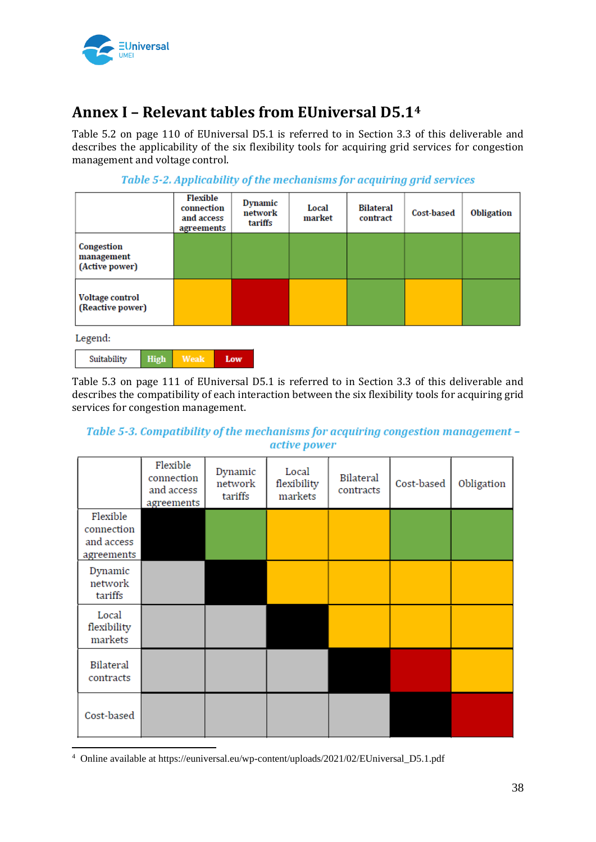

## **Annex I – Relevant tables from EUniversal D5.1<sup>4</sup>**

Table 5.2 on page 110 of EUniversal D5.1 is referred to in Section 3.3 of this deliverable and describes the applicability of the six flexibility tools for acquiring grid services for congestion management and voltage control.

|                                            |             | Flexible<br>connection<br>and access<br>agreements | Dynamic<br>network<br>tariffs | Local<br>market | <b>Bilateral</b><br>contract | Cost-based | Obligation |
|--------------------------------------------|-------------|----------------------------------------------------|-------------------------------|-----------------|------------------------------|------------|------------|
| Congestion<br>management<br>(Active power) |             |                                                    |                               |                 |                              |            |            |
| <b>Voltage control</b><br>(Reactive power) |             |                                                    |                               |                 |                              |            |            |
| Legend:                                    |             |                                                    |                               |                 |                              |            |            |
| Suitability                                | <b>High</b> | <b>Weak</b>                                        | Low                           |                 |                              |            |            |

Table 5-2. Applicability of the mechanisms for acquiring grid services

Table 5.3 on page 111 of EUniversal D5.1 is referred to in Section 3.3 of this deliverable and describes the compatibility of each interaction between the six flexibility tools for acquiring grid services for congestion management.

#### Table 5-3. Compatibility of the mechanisms for acquiring congestion management active power

|                                                    | Flexible<br>connection<br>and access<br>agreements | Dynamic<br>network<br>tariffs | Local<br>flexibility<br>markets | <b>Bilateral</b><br>contracts | Cost-based | Obligation |
|----------------------------------------------------|----------------------------------------------------|-------------------------------|---------------------------------|-------------------------------|------------|------------|
| Flexible<br>connection<br>and access<br>agreements |                                                    |                               |                                 |                               |            |            |
| Dynamic<br>network<br>tariffs                      |                                                    |                               |                                 |                               |            |            |
| Local<br>flexibility<br>markets                    |                                                    |                               |                                 |                               |            |            |
| Bilateral<br>contracts                             |                                                    |                               |                                 |                               |            |            |
| Cost-based                                         |                                                    |                               |                                 |                               |            |            |

<sup>4</sup> Online available at https://euniversal.eu/wp-content/uploads/2021/02/EUniversal\_D5.1.pdf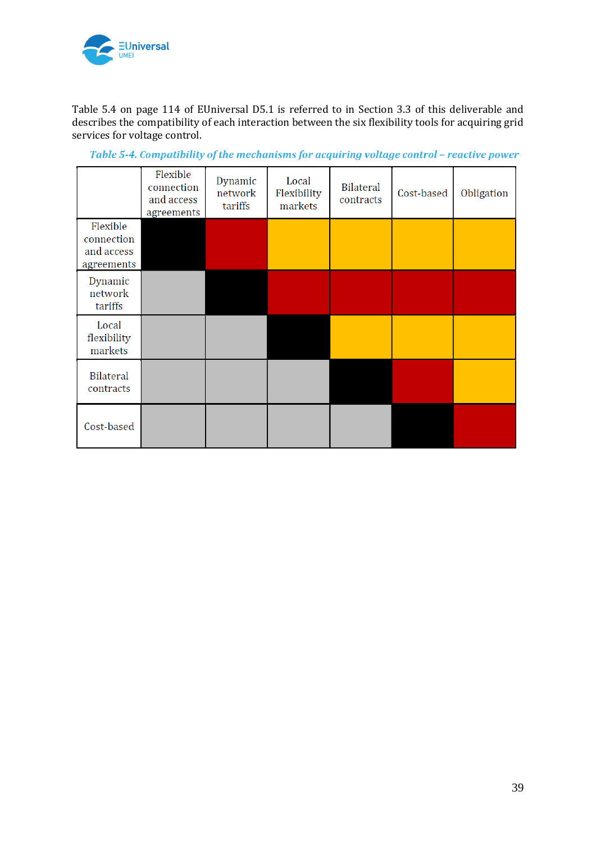

Table 5.4 on page 114 of EUniversal D5.1 is referred to in Section 3.3 of this deliverable and describes the compatibility of each interaction between the six flexibility tools for acquiring grid services for voltage control.

|                                      | Flexible<br>connection<br>and access<br>agreements | Dynamic<br>network<br>tariffs | Local<br>Flexibility<br>markets | <b>Bilateral</b><br>contracts | Cost-based | Obligation |
|--------------------------------------|----------------------------------------------------|-------------------------------|---------------------------------|-------------------------------|------------|------------|
| Flexible<br>connection<br>and access |                                                    |                               |                                 |                               |            |            |
| agreements                           |                                                    |                               |                                 |                               |            |            |
| Dynamic<br>network<br>tariffs        |                                                    |                               |                                 |                               |            |            |
| Local<br>flexibility<br>markets      |                                                    |                               |                                 |                               |            |            |
| <b>Bilateral</b><br>contracts        |                                                    |                               |                                 |                               |            |            |
| Cost-based                           |                                                    |                               |                                 |                               |            |            |

Table 5-4. Compatibility of the mechanisms for acquiring voltage control - reactive power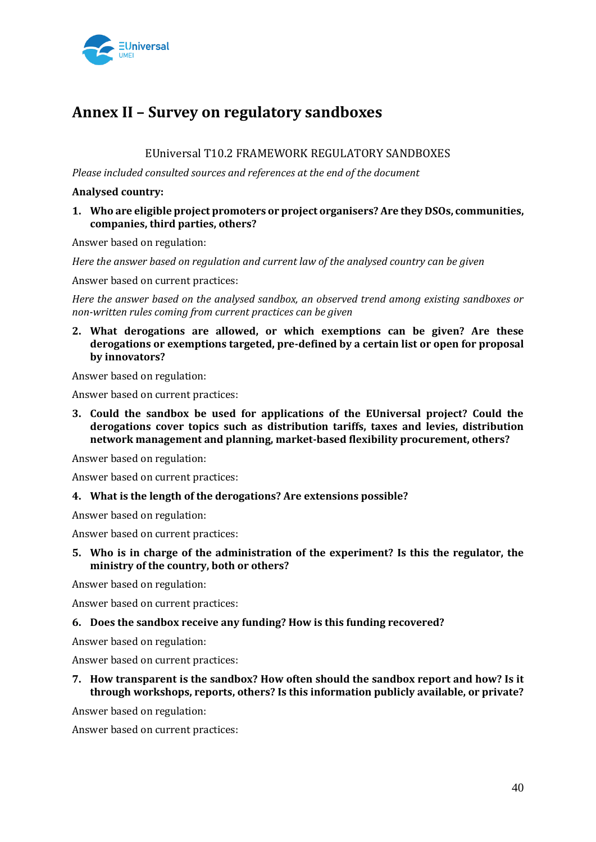

## **Annex II – Survey on regulatory sandboxes**

#### EUniversal T10.2 FRAMEWORK REGULATORY SANDBOXES

*Please included consulted sources and references at the end of the document* 

#### **Analysed country:**

#### **1. Who are eligible project promoters or project organisers? Are they DSOs, communities, companies, third parties, others?**

Answer based on regulation:

*Here the answer based on regulation and current law of the analysed country can be given* 

Answer based on current practices:

*Here the answer based on the analysed sandbox, an observed trend among existing sandboxes or non-written rules coming from current practices can be given* 

**2. What derogations are allowed, or which exemptions can be given? Are these derogations or exemptions targeted, pre-defined by a certain list or open for proposal by innovators?** 

Answer based on regulation:

Answer based on current practices:

**3. Could the sandbox be used for applications of the EUniversal project? Could the derogations cover topics such as distribution tariffs, taxes and levies, distribution network management and planning, market-based flexibility procurement, others?** 

Answer based on regulation:

Answer based on current practices:

#### **4. What is the length of the derogations? Are extensions possible?**

Answer based on regulation:

Answer based on current practices:

**5. Who is in charge of the administration of the experiment? Is this the regulator, the ministry of the country, both or others?** 

Answer based on regulation:

Answer based on current practices:

#### **6. Does the sandbox receive any funding? How is this funding recovered?**

Answer based on regulation:

Answer based on current practices:

**7. How transparent is the sandbox? How often should the sandbox report and how? Is it through workshops, reports, others? Is this information publicly available, or private?** 

Answer based on regulation:

Answer based on current practices: